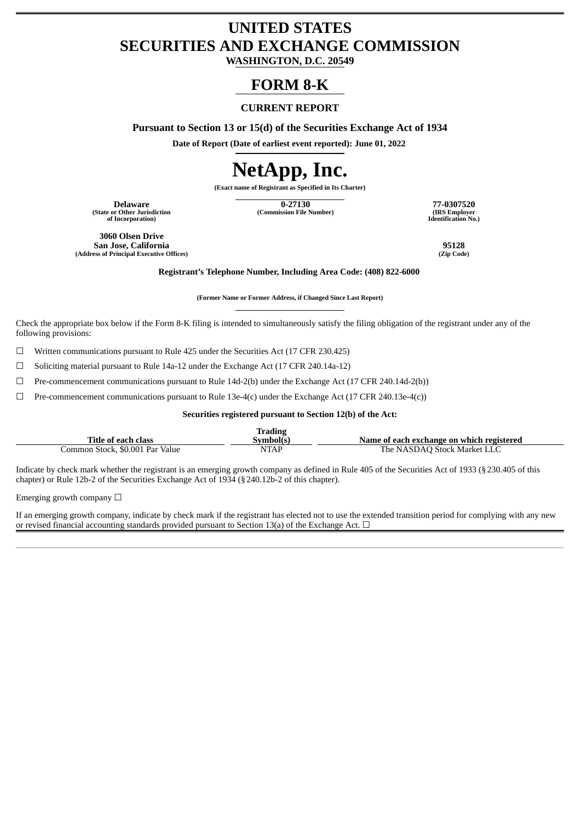# **UNITED STATES SECURITIES AND EXCHANGE COMMISSION**

**WASHINGTON, D.C. 20549**

## **FORM 8-K**

## **CURRENT REPORT**

**Pursuant to Section 13 or 15(d) of the Securities Exchange Act of 1934**

**Date of Report (Date of earliest event reported): June 01, 2022**

# **NetApp, Inc.**

**(Exact name of Registrant as Specified in Its Charter)**

**(State or Other Jurisdiction of Incorporation)**

**Delaware 0-27130 77-0307520 (Commission File Number) (IRS Employer**

**Identification No.)**

**3060 Olsen Drive San Jose, California 95128 (Address of Principal Executive Offices)** 

**Registrant's Telephone Number, Including Area Code: (408) 822-6000**

**(Former Name or Former Address, if Changed Since Last Report)**

Check the appropriate box below if the Form 8-K filing is intended to simultaneously satisfy the filing obligation of the registrant under any of the following provisions:

 $\Box$  Written communications pursuant to Rule 425 under the Securities Act (17 CFR 230.425)

☐ Soliciting material pursuant to Rule 14a-12 under the Exchange Act (17 CFR 240.14a-12)

 $\Box$  Pre-commencement communications pursuant to Rule 14d-2(b) under the Exchange Act (17 CFR 240.14d-2(b))

 $\Box$  Pre-commencement communications pursuant to Rule 13e-4(c) under the Exchange Act (17 CFR 240.13e-4(c))

**Securities registered pursuant to Section 12(b) of the Act:**

|                                 | Frading   |                                           |
|---------------------------------|-----------|-------------------------------------------|
| Title of each class             | Svmbol(s` | Name of each exchange on which registered |
| Common Stock, \$0.001 Par Value | NTAP      | The NASDAO Stock Market LLC               |

Indicate by check mark whether the registrant is an emerging growth company as defined in Rule 405 of the Securities Act of 1933 (§230.405 of this chapter) or Rule 12b-2 of the Securities Exchange Act of 1934 (§240.12b-2 of this chapter).

Emerging growth company  $\Box$ 

If an emerging growth company, indicate by check mark if the registrant has elected not to use the extended transition period for complying with any new or revised financial accounting standards provided pursuant to Section 13(a) of the Exchange Act.  $\Box$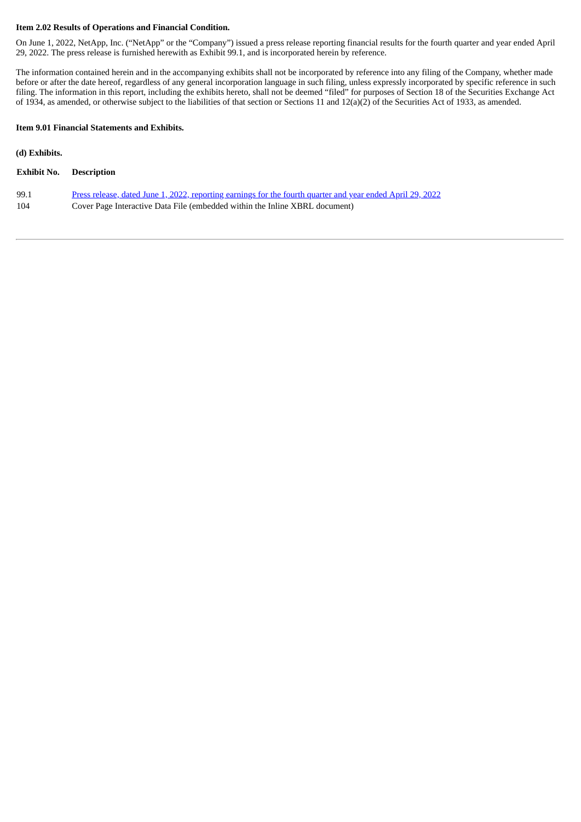#### **Item 2.02 Results of Operations and Financial Condition.**

On June 1, 2022, NetApp, Inc. ("NetApp" or the "Company") issued a press release reporting financial results for the fourth quarter and year ended April 29, 2022. The press release is furnished herewith as Exhibit 99.1, and is incorporated herein by reference.

The information contained herein and in the accompanying exhibits shall not be incorporated by reference into any filing of the Company, whether made before or after the date hereof, regardless of any general incorporation language in such filing, unless expressly incorporated by specific reference in such filing. The information in this report, including the exhibits hereto, shall not be deemed "filed" for purposes of Section 18 of the Securities Exchange Act filing. of 1934, as amended, or otherwise subject to the liabilities of that section or Sections 11 and  $12(a)(2)$  of the Securities Act of 1933, as amended.

#### **Item 9.01 Financial Statements and Exhibits.**

#### **(d) Exhibits.**

- 99.1 Press release, dated June 1, 2022, [reporting](#page-3-0) earnings for the fourth quarter and year ended April 29, 2022
- 104 Cover Page Interactive Data File (embedded within the Inline XBRL document)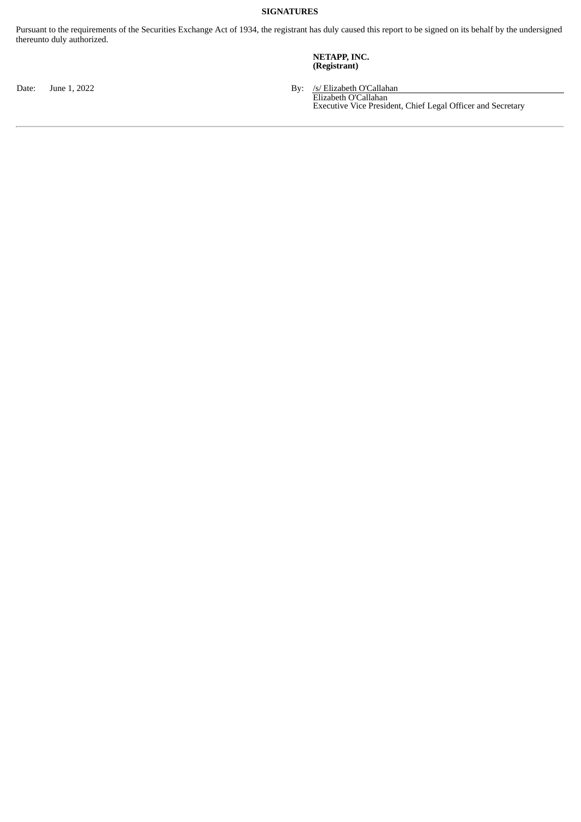## **SIGNATURES**

Pursuant to the requirements of the Securities Exchange Act of 1934, the registrant has duly caused this report to be signed on its behalf by the undersigned thereunto duly authorized.

#### **NETAPP, INC. (Registrant)**

Date: June 1, 2022 **By:** /s/ Elizabeth O'Callahan

Elizabeth O'Callahan Executive Vice President, Chief Legal Officer and Secretary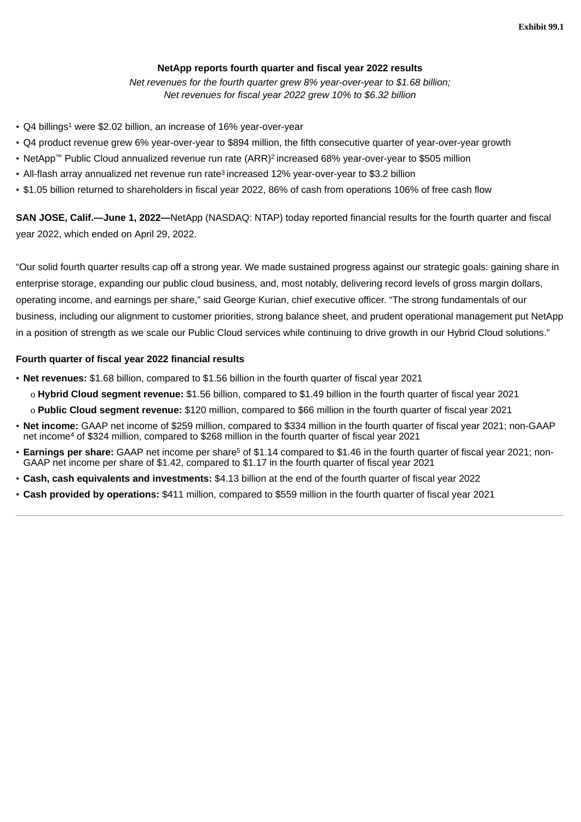## **NetApp reports fourth quarter and fiscal year 2022 results**

*Net revenues for the fourth quarter grew 8% year-over-year to \$1.68 billion; Net revenues for fiscal year 2022 grew 10% to \$6.32 billion*

- <span id="page-3-0"></span>• Q4 billings <sup>1</sup> were \$2.02 billion, an increase of 16% year-over-year
- Q4 product revenue grew 6% year-over-year to \$894 million, the fifth consecutive quarter of year-over-year growth
- NetApp™ Public Cloud annualized revenue run rate (ARR)<sup>2</sup> increased 68% year-over-year to \$505 million
- All-flash array annualized net revenue run rate<sup>3</sup> increased 12% year-over-year to \$3.2 billion
- \$1.05 billion returned to shareholders in fiscal year 2022, 86% of cash from operations 106% of free cash flow

**SAN JOSE, Calif.—June 1, 2022—**NetApp (NASDAQ: NTAP) today reported financial results for the fourth quarter and fiscal year 2022, which ended on April 29, 2022.

"Our solid fourth quarter results cap off a strong year. We made sustained progress against our strategic goals: gaining share in enterprise storage, expanding our public cloud business, and, most notably, delivering record levels of gross margin dollars, operating income, and earnings per share," said George Kurian, chief executive officer. "The strong fundamentals of our business, including our alignment to customer priorities, strong balance sheet, and prudent operational management put NetApp in a position of strength as we scale our Public Cloud services while continuing to drive growth in our Hybrid Cloud solutions."

## **Fourth quarter of fiscal year 2022 financial results**

- **Net revenues:** \$1.68 billion, compared to \$1.56 billion in the fourth quarter of fiscal year 2021
	- o **Hybrid Cloud segment revenue:** \$1.56 billion, compared to \$1.49 billion in the fourth quarter of fiscal year 2021
	- o **Public Cloud segment revenue:** \$120 million, compared to \$66 million in the fourth quarter of fiscal year 2021
- **Net income:** GAAP net income of \$259 million, compared to \$334 million in the fourth quarter of fiscal year 2021; non-GAAP net income<sup>4</sup> of \$324 million, compared to \$268 million in the fourth quarter of fiscal year 2021
- **Earnings per share:** GAAP net income per share<sup>5</sup> of \$1.14 compared to \$1.46 in the fourth quarter of fiscal year 2021; non-GAAP net income per share of \$1.42, compared to \$1.17 in the fourth quarter of fiscal year 2021
- **Cash, cash equivalents and investments:** \$4.13 billion at the end of the fourth quarter of fiscal year 2022
- **Cash provided by operations:** \$411 million, compared to \$559 million in the fourth quarter of fiscal year 2021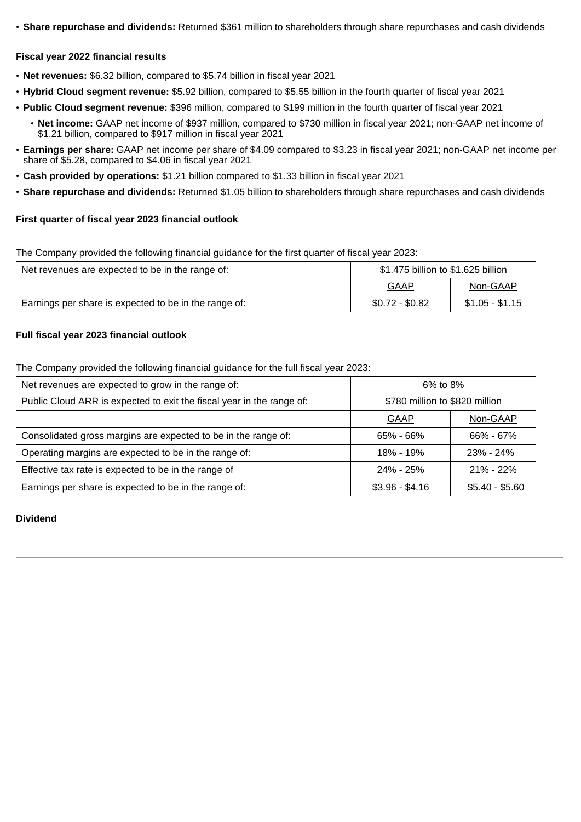• **Share repurchase and dividends:** Returned \$361 million to shareholders through share repurchases and cash dividends

## **Fiscal year 2022 financial results**

- **Net revenues:** \$6.32 billion, compared to \$5.74 billion in fiscal year 2021
- **Hybrid Cloud segment revenue:** \$5.92 billion, compared to \$5.55 billion in the fourth quarter of fiscal year 2021
- **Public Cloud segment revenue:** \$396 million, compared to \$199 million in the fourth quarter of fiscal year 2021
	- **Net income:** GAAP net income of \$937 million, compared to \$730 million in fiscal year 2021; non-GAAP net income of \$1.21 billion, compared to \$917 million in fiscal year 2021
- **Earnings per share:** GAAP net income per share of \$4.09 compared to \$3.23 in fiscal year 2021; non-GAAP net income per share of \$5.28, compared to \$4.06 in fiscal year 2021
- **Cash provided by operations:** \$1.21 billion compared to \$1.33 billion in fiscal year 2021
- **Share repurchase and dividends:** Returned \$1.05 billion to shareholders through share repurchases and cash dividends

## **First quarter of fiscal year 2023 financial outlook**

The Company provided the following financial guidance for the first quarter of fiscal year 2023:

| Net revenues are expected to be in the range of:      | \$1.475 billion to \$1.625 billion |                 |  |  |  |
|-------------------------------------------------------|------------------------------------|-----------------|--|--|--|
|                                                       | GAAP<br>Non-GAAP                   |                 |  |  |  |
| Earnings per share is expected to be in the range of: | $$0.72 - $0.82$                    | $$1.05 - $1.15$ |  |  |  |

## **Full fiscal year 2023 financial outlook**

The Company provided the following financial guidance for the full fiscal year 2023:

| Net revenues are expected to grow in the range of:                    | 6% to 8%                       |                 |  |  |  |
|-----------------------------------------------------------------------|--------------------------------|-----------------|--|--|--|
| Public Cloud ARR is expected to exit the fiscal year in the range of: | \$780 million to \$820 million |                 |  |  |  |
|                                                                       | <b>GAAP</b>                    | Non-GAAP        |  |  |  |
| Consolidated gross margins are expected to be in the range of:        | 65% - 66%                      | 66% - 67%       |  |  |  |
| Operating margins are expected to be in the range of:                 | 18% - 19%                      | $23\% - 24\%$   |  |  |  |
| Effective tax rate is expected to be in the range of                  | 24% - 25%                      | $21\% - 22\%$   |  |  |  |
| Earnings per share is expected to be in the range of:                 | $$3.96 - $4.16$                | $$5.40 - $5.60$ |  |  |  |

## **Dividend**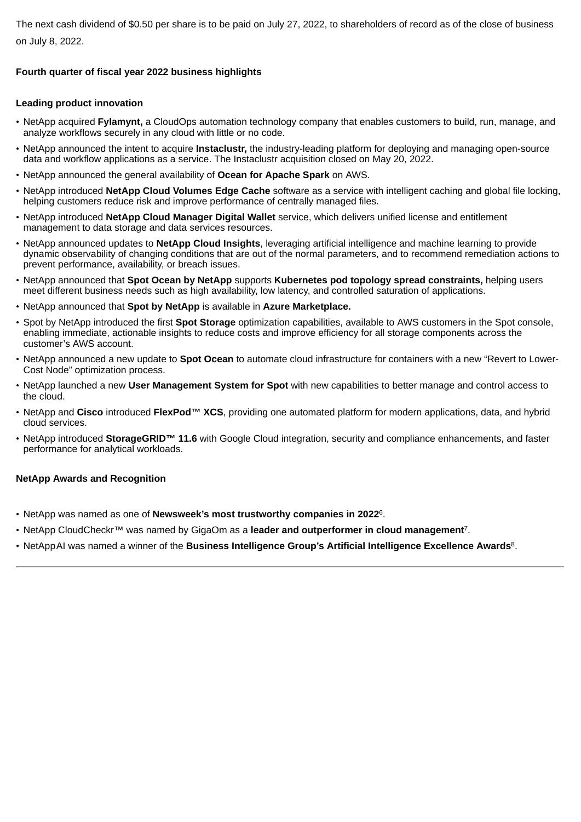The next cash dividend of \$0.50 per share is to be paid on July 27, 2022, to shareholders of record as of the close of business on July 8, 2022.

## **Fourth quarter of fiscal year 2022 business highlights**

## **Leading product innovation**

- NetApp acquired **Fylamynt,** a CloudOps automation technology company that enables customers to build, run, manage, and analyze workflows securely in any cloud with little or no code.
- NetApp announced the intent to acquire **Instaclustr,** the industry-leading platform for deploying and managing open-source data and workflow applications as a service. The Instaclustr acquisition closed on May 20, 2022.
- NetApp announced the general availability of **Ocean for Apache Spark** on AWS.
- NetApp introduced **NetApp Cloud Volumes Edge Cache** software as a service with intelligent caching and global file locking, helping customers reduce risk and improve performance of centrally managed files.
- NetApp introduced **NetApp Cloud Manager Digital Wallet** service, which delivers unified license and entitlement management to data storage and data services resources.
- NetApp announced updates to **NetApp Cloud Insights**, leveraging artificial intelligence and machine learning to provide dynamic observability of changing conditions that are out of the normal parameters, and to recommend remediation actions to prevent performance, availability, or breach issues.
- NetApp announced that **Spot Ocean by NetApp** supports **Kubernetes pod topology spread constraints,** helping users meet different business needs such as high availability, low latency, and controlled saturation of applications.
- NetApp announced that **Spot by NetApp** is available in **Azure Marketplace.**
- Spot by NetApp introduced the first **Spot Storage** optimization capabilities, available to AWS customers in the Spot console, enabling immediate, actionable insights to reduce costs and improve efficiency for all storage components across the customer's AWS account.
- NetApp announced a new update to **Spot Ocean** to automate cloud infrastructure for containers with a new "Revert to Lower-Cost Node" optimization process.
- NetApp launched a new **User Management System for Spot** with new capabilities to better manage and control access to the cloud.
- NetApp and **Cisco** introduced **FlexPod™ XCS**, providing one automated platform for modern applications, data, and hybrid cloud services.
- NetApp introduced **StorageGRID™ 11.6** with Google Cloud integration, security and compliance enhancements, and faster performance for analytical workloads.

## **NetApp Awards and Recognition**

- NetApp was named as one of **Newsweek's most trustworthy companies in 2022**<sup>6</sup>.
- NetApp CloudCheckr™ was named by GigaOm as a **leader and outperformer in cloud management**<sup>7</sup>.
- NetAppAI was named a winner of the **Business Intelligence Group's Artificial Intelligence Excellence Awards**<sup>8</sup>.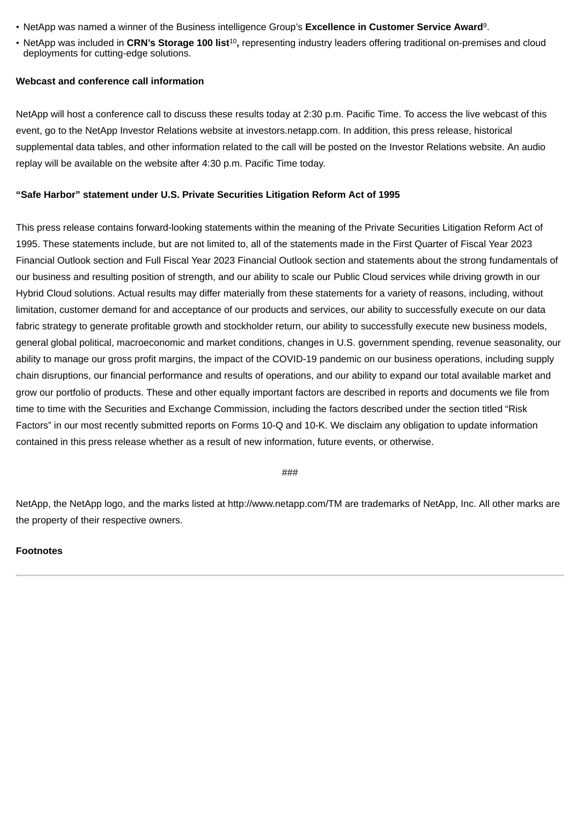- NetApp was named a winner of the Business intelligence Group's **Excellence in Customer Service Award**<sup>9</sup>.
- NetApp was included in **CRN's Storage 100 list**<sup>10</sup>**,** representing industry leaders offering traditional on-premises and cloud deployments for cutting-edge solutions.

## **Webcast and conference call information**

NetApp will host a conference call to discuss these results today at 2:30 p.m. Pacific Time. To access the live webcast of this event, go to the NetApp Investor Relations website at investors.netapp.com. In addition, this press release, historical supplemental data tables, and other information related to the call will be posted on the Investor Relations website. An audio replay will be available on the website after 4:30 p.m. Pacific Time today.

## **"Safe Harbor" statement under U.S. Private Securities Litigation Reform Act of 1995**

This press release contains forward-looking statements within the meaning of the Private Securities Litigation Reform Act of 1995. These statements include, but are not limited to, all of the statements made in the First Quarter of Fiscal Year 2023 Financial Outlook section and Full Fiscal Year 2023 Financial Outlook section and statements about the strong fundamentals of our business and resulting position of strength, and our ability to scale our Public Cloud services while driving growth in our Hybrid Cloud solutions. Actual results may differ materially from these statements for a variety of reasons, including, without limitation, customer demand for and acceptance of our products and services, our ability to successfully execute on our data fabric strategy to generate profitable growth and stockholder return, our ability to successfully execute new business models, general global political, macroeconomic and market conditions, changes in U.S. government spending, revenue seasonality, our ability to manage our gross profit margins, the impact of the COVID-19 pandemic on our business operations, including supply chain disruptions, our financial performance and results of operations, and our ability to expand our total available market and grow our portfolio of products. These and other equally important factors are described in reports and documents we file from time to time with the Securities and Exchange Commission, including the factors described under the section titled "Risk Factors" in our most recently submitted reports on Forms 10-Q and 10-K. We disclaim any obligation to update information contained in this press release whether as a result of new information, future events, or otherwise.

 $#HH$ 

NetApp, the NetApp logo, and the marks listed at http://www.netapp.com/TM are trademarks of NetApp, Inc. All other marks are the property of their respective owners.

## **Footnotes**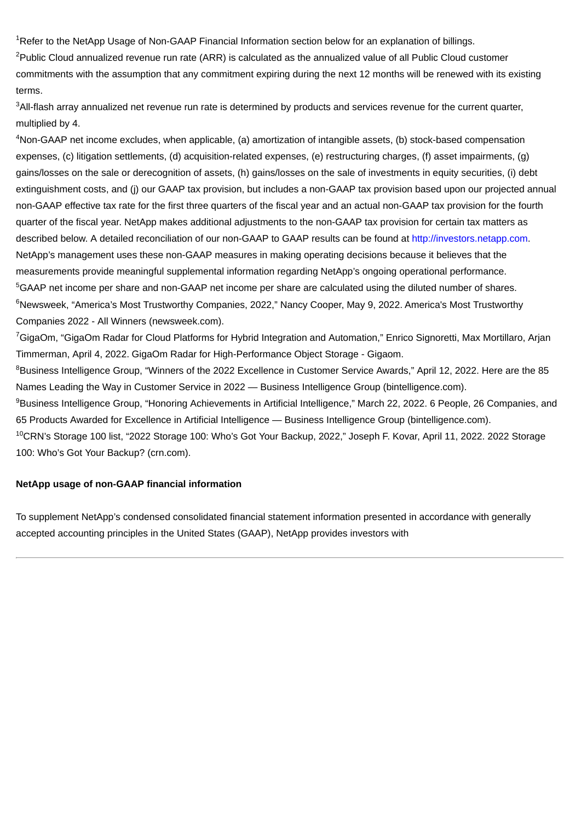<sup>1</sup>Refer to the NetApp Usage of Non-GAAP Financial Information section below for an explanation of billings.

<sup>2</sup>Public Cloud annualized revenue run rate (ARR) is calculated as the annualized value of all Public Cloud customer commitments with the assumption that any commitment expiring during the next 12 months will be renewed with its existing terms.

<sup>3</sup>All-flash array annualized net revenue run rate is determined by products and services revenue for the current quarter, multiplied by 4.

<sup>4</sup>Non-GAAP net income excludes, when applicable, (a) amortization of intangible assets, (b) stock-based compensation expenses, (c) litigation settlements, (d) acquisition-related expenses, (e) restructuring charges, (f) asset impairments, (g) gains/losses on the sale or derecognition of assets, (h) gains/losses on the sale of investments in equity securities, (i) debt extinguishment costs, and (j) our GAAP tax provision, but includes a non-GAAP tax provision based upon our projected annual non-GAAP effective tax rate for the first three quarters of the fiscal year and an actual non-GAAP tax provision for the fourth quarter of the fiscal year. NetApp makes additional adjustments to the non-GAAP tax provision for certain tax matters as described below. A detailed reconciliation of our non-GAAP to GAAP results can be found at http://investors.netapp.com. NetApp's management uses these non-GAAP measures in making operating decisions because it believes that the measurements provide meaningful supplemental information regarding NetApp's ongoing operational performance. <sup>5</sup>GAAP net income per share and non-GAAP net income per share are calculated using the diluted number of shares. <sup>6</sup>Newsweek, "America's Most Trustworthy Companies, 2022," Nancy Cooper, May 9, 2022. America's Most Trustworthy Companies 2022 - All Winners (newsweek.com).

<sup>7</sup>GigaOm, "GigaOm Radar for Cloud Platforms for Hybrid Integration and Automation," Enrico Signoretti, Max Mortillaro, Arjan Timmerman, April 4, 2022. GigaOm Radar for High-Performance Object Storage - Gigaom.

<sup>8</sup>Business Intelligence Group, "Winners of the 2022 Excellence in Customer Service Awards," April 12, 2022. Here are the 85 Names Leading the Way in Customer Service in 2022 — Business Intelligence Group (bintelligence.com).

<sup>9</sup>Business Intelligence Group, "Honoring Achievements in Artificial Intelligence," March 22, 2022. 6 People, 26 Companies, and 65 Products Awarded for Excellence in Artificial Intelligence — Business Intelligence Group (bintelligence.com).

<sup>10</sup>CRN's Storage 100 list, "2022 Storage 100: Who's Got Your Backup, 2022," Joseph F. Kovar, April 11, 2022. 2022 Storage 100: Who's Got Your Backup? (crn.com).

## **NetApp usage of non-GAAP financial information**

To supplement NetApp's condensed consolidated financial statement information presented in accordance with generally accepted accounting principles in the United States (GAAP), NetApp provides investors with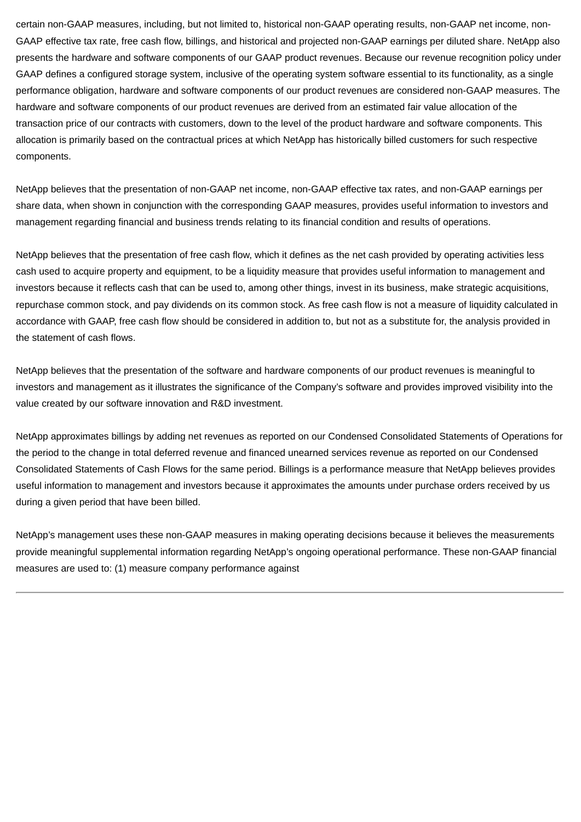certain non-GAAP measures, including, but not limited to, historical non-GAAP operating results, non-GAAP net income, non-GAAP effective tax rate, free cash flow, billings, and historical and projected non-GAAP earnings per diluted share. NetApp also presents the hardware and software components of our GAAP product revenues. Because our revenue recognition policy under GAAP defines a configured storage system, inclusive of the operating system software essential to its functionality, as a single performance obligation, hardware and software components of our product revenues are considered non-GAAP measures. The hardware and software components of our product revenues are derived from an estimated fair value allocation of the transaction price of our contracts with customers, down to the level of the product hardware and software components. This allocation is primarily based on the contractual prices at which NetApp has historically billed customers for such respective components.

NetApp believes that the presentation of non-GAAP net income, non-GAAP effective tax rates, and non-GAAP earnings per share data, when shown in conjunction with the corresponding GAAP measures, provides useful information to investors and management regarding financial and business trends relating to its financial condition and results of operations.

NetApp believes that the presentation of free cash flow, which it defines as the net cash provided by operating activities less cash used to acquire property and equipment, to be a liquidity measure that provides useful information to management and investors because it reflects cash that can be used to, among other things, invest in its business, make strategic acquisitions, repurchase common stock, and pay dividends on its common stock. As free cash flow is not a measure of liquidity calculated in accordance with GAAP, free cash flow should be considered in addition to, but not as a substitute for, the analysis provided in the statement of cash flows.

NetApp believes that the presentation of the software and hardware components of our product revenues is meaningful to investors and management as it illustrates the significance of the Company's software and provides improved visibility into the value created by our software innovation and R&D investment.

NetApp approximates billings by adding net revenues as reported on our Condensed Consolidated Statements of Operations for the period to the change in total deferred revenue and financed unearned services revenue as reported on our Condensed Consolidated Statements of Cash Flows for the same period. Billings is a performance measure that NetApp believes provides useful information to management and investors because it approximates the amounts under purchase orders received by us during a given period that have been billed.

NetApp's management uses these non-GAAP measures in making operating decisions because it believes the measurements provide meaningful supplemental information regarding NetApp's ongoing operational performance. These non-GAAP financial measures are used to: (1) measure company performance against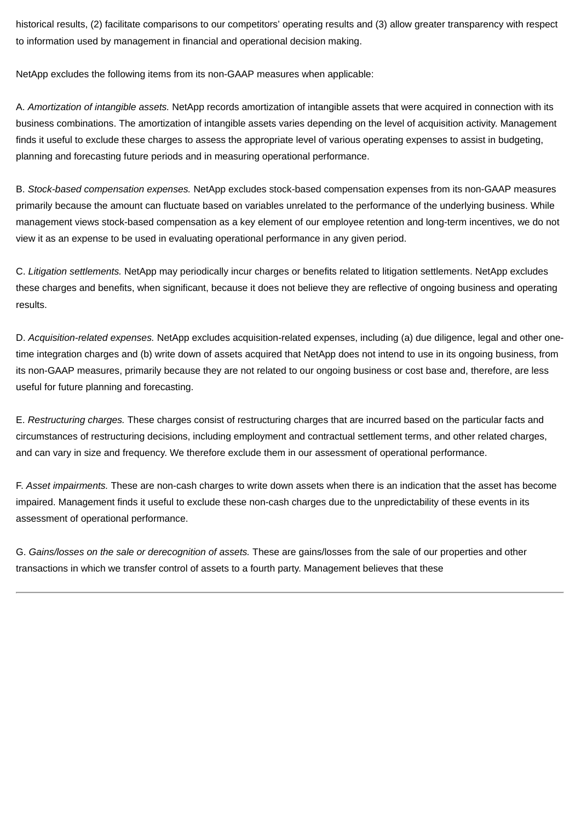historical results, (2) facilitate comparisons to our competitors' operating results and (3) allow greater transparency with respect to information used by management in financial and operational decision making.

NetApp excludes the following items from its non-GAAP measures when applicable:

A. *Amortization of intangible assets.* NetApp records amortization of intangible assets that were acquired in connection with its business combinations. The amortization of intangible assets varies depending on the level of acquisition activity. Management finds it useful to exclude these charges to assess the appropriate level of various operating expenses to assist in budgeting, planning and forecasting future periods and in measuring operational performance.

B. *Stock-based compensation expenses.* NetApp excludes stock-based compensation expenses from its non-GAAP measures primarily because the amount can fluctuate based on variables unrelated to the performance of the underlying business. While management views stock-based compensation as a key element of our employee retention and long-term incentives, we do not view it as an expense to be used in evaluating operational performance in any given period.

C. *Litigation settlements.* NetApp may periodically incur charges or benefits related to litigation settlements. NetApp excludes these charges and benefits, when significant, because it does not believe they are reflective of ongoing business and operating results.

D. *Acquisition-related expenses.* NetApp excludes acquisition-related expenses, including (a) due diligence, legal and other onetime integration charges and (b) write down of assets acquired that NetApp does not intend to use in its ongoing business, from its non-GAAP measures, primarily because they are not related to our ongoing business or cost base and, therefore, are less useful for future planning and forecasting.

E. *Restructuring charges.* These charges consist of restructuring charges that are incurred based on the particular facts and circumstances of restructuring decisions, including employment and contractual settlement terms, and other related charges, and can vary in size and frequency. We therefore exclude them in our assessment of operational performance.

F. *Asset impairments.* These are non-cash charges to write down assets when there is an indication that the asset has become impaired. Management finds it useful to exclude these non-cash charges due to the unpredictability of these events in its assessment of operational performance.

G. *Gains/losses on the sale or derecognition of assets.* These are gains/losses from the sale of our properties and other transactions in which we transfer control of assets to a fourth party. Management believes that these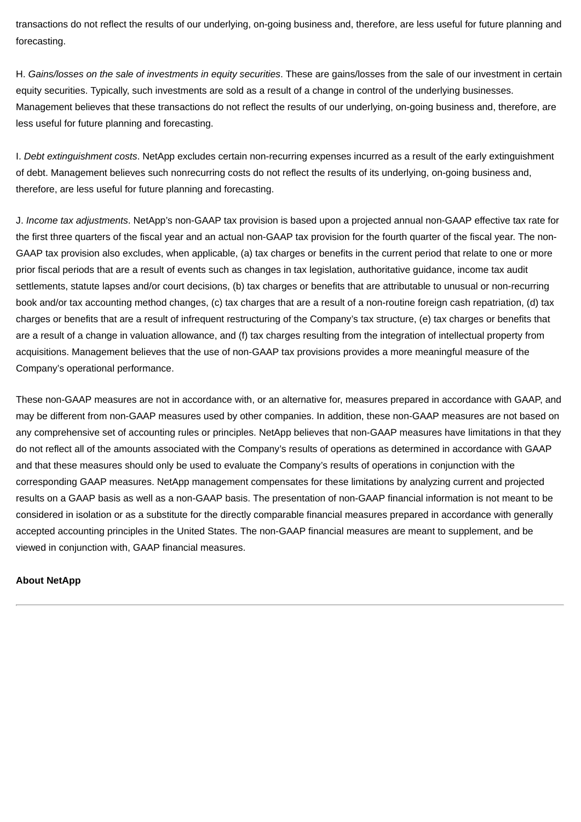transactions do not reflect the results of our underlying, on-going business and, therefore, are less useful for future planning and forecasting.

H. *Gains/losses on the sale of investments in equity securities*. These are gains/losses from the sale of our investment in certain equity securities. Typically, such investments are sold as a result of a change in control of the underlying businesses. Management believes that these transactions do not reflect the results of our underlying, on-going business and, therefore, are less useful for future planning and forecasting.

I. *Debt extinguishment costs*. NetApp excludes certain non-recurring expenses incurred as a result of the early extinguishment of debt. Management believes such nonrecurring costs do not reflect the results of its underlying, on-going business and, therefore, are less useful for future planning and forecasting.

J. *Income tax adjustments*. NetApp's non-GAAP tax provision is based upon a projected annual non-GAAP effective tax rate for the first three quarters of the fiscal year and an actual non-GAAP tax provision for the fourth quarter of the fiscal year. The non-GAAP tax provision also excludes, when applicable, (a) tax charges or benefits in the current period that relate to one or more prior fiscal periods that are a result of events such as changes in tax legislation, authoritative guidance, income tax audit settlements, statute lapses and/or court decisions, (b) tax charges or benefits that are attributable to unusual or non-recurring book and/or tax accounting method changes, (c) tax charges that are a result of a non-routine foreign cash repatriation, (d) tax charges or benefits that are a result of infrequent restructuring of the Company's tax structure, (e) tax charges or benefits that are a result of a change in valuation allowance, and (f) tax charges resulting from the integration of intellectual property from acquisitions. Management believes that the use of non-GAAP tax provisions provides a more meaningful measure of the Company's operational performance.

These non-GAAP measures are not in accordance with, or an alternative for, measures prepared in accordance with GAAP, and may be different from non-GAAP measures used by other companies. In addition, these non-GAAP measures are not based on any comprehensive set of accounting rules or principles. NetApp believes that non-GAAP measures have limitations in that they do not reflect all of the amounts associated with the Company's results of operations as determined in accordance with GAAP and that these measures should only be used to evaluate the Company's results of operations in conjunction with the corresponding GAAP measures. NetApp management compensates for these limitations by analyzing current and projected results on a GAAP basis as well as a non-GAAP basis. The presentation of non-GAAP financial information is not meant to be considered in isolation or as a substitute for the directly comparable financial measures prepared in accordance with generally accepted accounting principles in the United States. The non-GAAP financial measures are meant to supplement, and be viewed in conjunction with, GAAP financial measures.

## **About NetApp**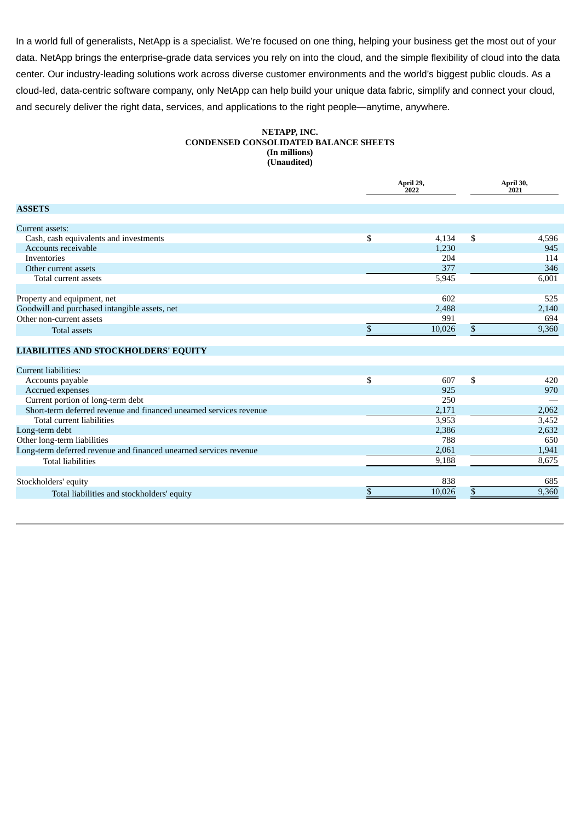In a world full of generalists, NetApp is a specialist. We're focused on one thing, helping your business get the most out of your data. NetApp brings the enterprise-grade data services you rely on into the cloud, and the simple flexibility of cloud into the data center. Our industry-leading solutions work across diverse customer environments and the world's biggest public clouds. As a cloud-led, data-centric software company, only NetApp can help build your unique data fabric, simplify and connect your cloud, and securely deliver the right data, services, and applications to the right people—anytime, anywhere.

#### **NETAPP, INC. CONDENSED CONSOLIDATED BALANCE SHEETS (In millions) (Unaudited)**

|                                                                    | April 29,<br>2022 | April 30,<br>2021 |       |  |
|--------------------------------------------------------------------|-------------------|-------------------|-------|--|
| <b>ASSETS</b>                                                      |                   |                   |       |  |
| Current assets:                                                    |                   |                   |       |  |
| Cash, cash equivalents and investments                             | \$<br>4,134       | \$                | 4,596 |  |
| Accounts receivable                                                | 1,230             |                   | 945   |  |
| Inventories                                                        | 204               |                   | 114   |  |
| Other current assets                                               | 377               |                   | 346   |  |
| Total current assets                                               | 5,945             |                   | 6,001 |  |
| Property and equipment, net                                        | 602               |                   | 525   |  |
| Goodwill and purchased intangible assets, net                      | 2,488             |                   | 2,140 |  |
| Other non-current assets                                           | 991               |                   | 694   |  |
| <b>Total assets</b>                                                | \$<br>10,026      | \$                | 9,360 |  |
| <b>LIABILITIES AND STOCKHOLDERS' EQUITY</b>                        |                   |                   |       |  |
| <b>Current liabilities:</b>                                        |                   |                   |       |  |
| Accounts payable                                                   | \$<br>607         | \$                | 420   |  |
| Accrued expenses                                                   | 925               |                   | 970   |  |
| Current portion of long-term debt                                  | 250               |                   |       |  |
| Short-term deferred revenue and financed unearned services revenue | 2,171             |                   | 2,062 |  |
| Total current liabilities                                          | 3,953             |                   | 3,452 |  |
| Long-term debt                                                     | 2,386             |                   | 2,632 |  |
| Other long-term liabilities                                        | 788               |                   | 650   |  |
| Long-term deferred revenue and financed unearned services revenue  | 2,061             |                   | 1,941 |  |
| <b>Total liabilities</b>                                           | 9,188             |                   | 8,675 |  |
| Stockholders' equity                                               | 838               |                   | 685   |  |
| Total liabilities and stockholders' equity                         | \$<br>10,026      | \$                | 9,360 |  |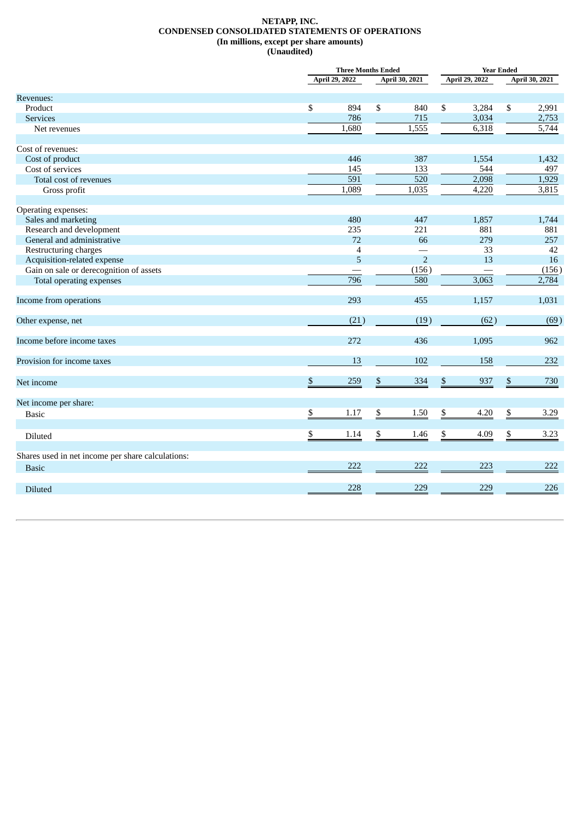#### **NETAPP, INC. CONDENSED CONSOLIDATED STATEMENTS OF OPERATIONS (In millions, except per share amounts) (Unaudited)**

|                                                   | <b>Three Months Ended</b> |                | <b>Year Ended</b>     |                |    |                |
|---------------------------------------------------|---------------------------|----------------|-----------------------|----------------|----|----------------|
|                                                   | April 29, 2022            |                | <b>April 30, 2021</b> | April 29, 2022 |    | April 30, 2021 |
| Revenues:                                         |                           |                |                       |                |    |                |
| Product                                           | \$<br>894                 | \$             | 840                   | \$<br>3,284    | \$ | 2,991          |
| <b>Services</b>                                   | 786                       |                | 715                   | 3,034          |    | 2,753          |
| Net revenues                                      | 1,680                     |                | 1,555                 | 6,318          |    | 5,744          |
|                                                   |                           |                |                       |                |    |                |
| Cost of revenues:                                 |                           |                |                       |                |    |                |
| Cost of product                                   | 446                       |                | 387                   | 1,554          |    | 1,432          |
| Cost of services                                  | 145                       |                | 133                   | 544            |    | 497            |
| Total cost of revenues                            | 591                       |                | $\overline{520}$      | 2,098          |    | 1,929          |
| Gross profit                                      | 1,089                     |                | 1,035                 | 4,220          |    | 3,815          |
|                                                   |                           |                |                       |                |    |                |
| Operating expenses:                               |                           |                |                       |                |    |                |
| Sales and marketing                               | 480                       |                | 447                   | 1,857          |    | 1,744          |
| Research and development                          | 235                       |                | 221                   | 881            |    | 881            |
| General and administrative                        | 72                        |                | 66                    | 279            |    | 257            |
| Restructuring charges                             | $\overline{4}$            |                |                       | 33             |    | 42             |
| Acquisition-related expense                       | 5                         |                | $\overline{2}$        | 13             |    | 16             |
| Gain on sale or derecognition of assets           |                           |                | (156)                 |                |    | (156)          |
| Total operating expenses                          | 796                       |                | 580                   | 3,063          |    | 2,784          |
| Income from operations                            | 293                       |                | 455                   | 1,157          |    | 1,031          |
| Other expense, net                                | (21)                      |                | (19)                  | (62)           |    | (69)           |
| Income before income taxes                        | 272                       |                | 436                   | 1,095          |    | 962            |
| Provision for income taxes                        | 13                        |                | 102                   | 158            |    | 232            |
| Net income                                        | \$<br>259                 | $\overline{v}$ | 334                   | \$<br>937      | \$ | 730            |
| Net income per share:                             |                           |                |                       |                |    |                |
| <b>Basic</b>                                      | \$<br>1.17                | \$             | 1.50                  | \$<br>4.20     | \$ | 3.29           |
|                                                   |                           |                |                       |                |    |                |
| Diluted                                           | \$<br>1.14                | \$             | 1.46                  | \$<br>4.09     | \$ | 3.23           |
| Shares used in net income per share calculations: |                           |                |                       |                |    |                |
| <b>Basic</b>                                      | 222                       |                | 222                   | 223            |    | 222            |
|                                                   |                           |                |                       |                |    |                |
| Diluted                                           | 228                       |                | 229                   | 229            |    | 226            |
|                                                   |                           |                |                       |                |    |                |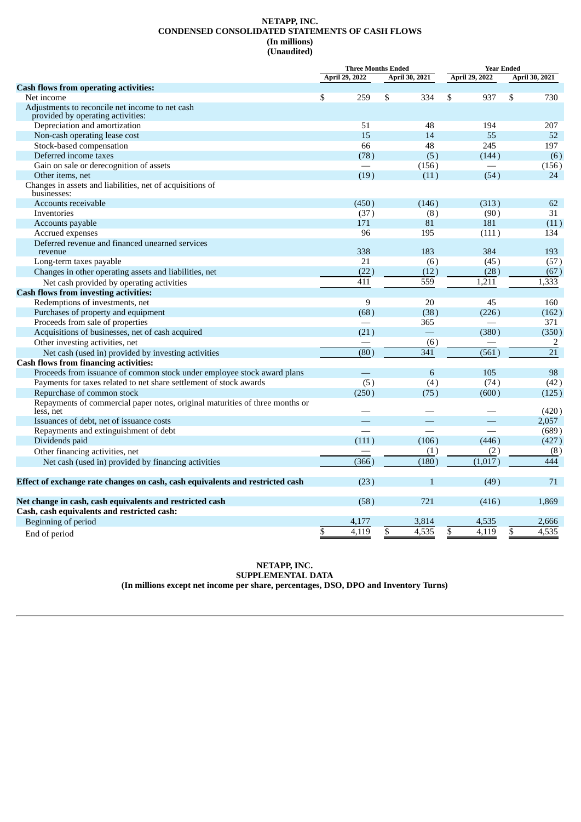#### **NETAPP, INC. CONDENSED CONSOLIDATED STATEMENTS OF CASH FLOWS (In millions) (Unaudited)**

|                                                                                           | <b>Three Months Ended</b> |                    |                    | <b>Year Ended</b>        |                          |  |  |
|-------------------------------------------------------------------------------------------|---------------------------|--------------------|--------------------|--------------------------|--------------------------|--|--|
|                                                                                           | <b>April 29, 2022</b>     |                    | April 30, 2021     | April 29, 2022           | <b>April 30, 2021</b>    |  |  |
| <b>Cash flows from operating activities:</b>                                              |                           |                    |                    |                          |                          |  |  |
| Net income                                                                                | \$                        | 259                | \$<br>334          | \$<br>937                | \$<br>730                |  |  |
| Adjustments to reconcile net income to net cash<br>provided by operating activities:      |                           |                    |                    |                          |                          |  |  |
| Depreciation and amortization                                                             |                           | 51                 | 48                 | 194                      | 207                      |  |  |
| Non-cash operating lease cost                                                             |                           | 15                 | 14                 | 55                       | 52                       |  |  |
| Stock-based compensation                                                                  |                           | 66                 | 48                 | 245                      | 197                      |  |  |
| Deferred income taxes                                                                     |                           | (78)               | (5)                | (144)                    | (6)                      |  |  |
| Gain on sale or derecognition of assets                                                   |                           |                    | (156)              |                          | (156)                    |  |  |
| Other items, net                                                                          |                           | (19)               | (11)               | (54)                     | 24                       |  |  |
| Changes in assets and liabilities, net of acquisitions of<br>businesses:                  |                           |                    |                    |                          |                          |  |  |
| Accounts receivable                                                                       |                           | (450)              | (146)              | (313)                    | 62                       |  |  |
| Inventories                                                                               |                           | (37)               | (8)                | (90)                     | 31                       |  |  |
| Accounts payable                                                                          |                           | 171                | 81                 | 181                      | (11)                     |  |  |
| Accrued expenses                                                                          |                           | 96                 | 195                | (111)                    | 134                      |  |  |
| Deferred revenue and financed unearned services                                           |                           |                    |                    |                          |                          |  |  |
| revenue                                                                                   |                           | 338                | 183                | 384                      | 193                      |  |  |
| Long-term taxes payable                                                                   |                           | 21                 | (6)                | (45)                     | (57)                     |  |  |
| Changes in other operating assets and liabilities, net                                    |                           | (22)               | (12)               | (28)                     | (67)                     |  |  |
| Net cash provided by operating activities                                                 |                           | 411                | 559                | 1,211                    | 1,333                    |  |  |
| <b>Cash flows from investing activities:</b>                                              |                           |                    |                    |                          |                          |  |  |
| Redemptions of investments, net                                                           |                           | 9                  | 20                 | 45                       | 160                      |  |  |
| Purchases of property and equipment                                                       |                           | (68)               | (38)               | (226)                    | (162)                    |  |  |
| Proceeds from sale of properties                                                          |                           |                    | 365                |                          | 371                      |  |  |
| Acquisitions of businesses, net of cash acquired                                          |                           | (21)               | $\equiv$           | (380)                    | (350)                    |  |  |
| Other investing activities, net                                                           |                           |                    | (6)                |                          | 2                        |  |  |
| Net cash (used in) provided by investing activities                                       |                           | $\overline{(80)}$  | 341                | (561)                    | $\overline{21}$          |  |  |
| <b>Cash flows from financing activities:</b>                                              |                           |                    |                    |                          |                          |  |  |
| Proceeds from issuance of common stock under employee stock award plans                   |                           |                    | 6                  | 105                      | 98                       |  |  |
| Payments for taxes related to net share settlement of stock awards                        |                           | (5)                | (4)                | (74)                     | (42)                     |  |  |
| Repurchase of common stock                                                                |                           | (250)              | (75)               | (600)                    | (125)                    |  |  |
| Repayments of commercial paper notes, original maturities of three months or<br>less, net |                           |                    |                    |                          | (420)                    |  |  |
| Issuances of debt, net of issuance costs                                                  |                           |                    |                    |                          | 2,057                    |  |  |
| Repayments and extinguishment of debt                                                     |                           |                    |                    |                          | (689)                    |  |  |
| Dividends paid                                                                            |                           | (111)              | (106)              | (446)                    | (427)                    |  |  |
| Other financing activities, net                                                           |                           |                    | (1)                | (2)                      | (8)                      |  |  |
| Net cash (used in) provided by financing activities                                       |                           | $\overline{(366)}$ | $\overline{(180)}$ | (1,017)                  | 444                      |  |  |
| Effect of exchange rate changes on cash, cash equivalents and restricted cash             |                           | (23)               | 1                  | (49)                     | 71                       |  |  |
| Net change in cash, cash equivalents and restricted cash                                  |                           | (58)               | 721                | (416)                    | 1,869                    |  |  |
| Cash, cash equivalents and restricted cash:                                               |                           |                    |                    |                          |                          |  |  |
| Beginning of period                                                                       |                           | 4,177              | 3,814              | 4,535                    | 2,666                    |  |  |
| End of period                                                                             | \$                        | 4,119              | \$<br>4,535        | $\overline{\$}$<br>4,119 | $\overline{\$}$<br>4,535 |  |  |

#### **NETAPP, INC. SUPPLEMENTAL DATA (In millions except net income per share, percentages, DSO, DPO and Inventory Turns)**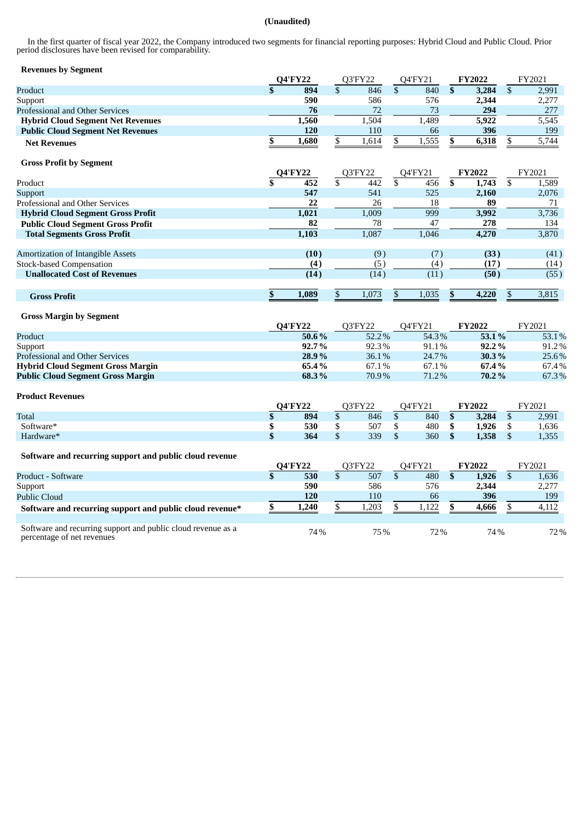#### **(Unaudited)**

In the first quarter of fiscal year 2022, the Company introduced two segments for financial reporting purposes: Hybrid Cloud and Public Cloud. Prior period disclosures have been revised for comparability.

## **Revenues by Segment**

| <b>O4'FY22</b> |       |  |       |         |       |                |       | <b>FY2022</b> |  | FY2021 |
|----------------|-------|--|-------|---------|-------|----------------|-------|---------------|--|--------|
|                | 894   |  | 846   |         | 840   |                | 3,284 | 2,991         |  |        |
|                | 590   |  | 586   |         | 576   |                | 2,344 | 2,277         |  |        |
|                | 76    |  | 72    |         | 73    |                | 294   | 277           |  |        |
|                | 1,560 |  | 1,504 |         | 1.489 |                | 5,922 | 5,545         |  |        |
|                | 120   |  | 110   |         | 66    |                | 396   | 199           |  |        |
|                | 1,680 |  | 1,614 |         | 1.555 |                | 6.318 | 5.744         |  |        |
|                |       |  |       | O3'FY22 |       | <b>O4'FY21</b> |       |               |  |        |

#### **Gross Profit by Segment**

|                                          | <b>Q4'FY22</b> | Q3'FY22 | Q4'FY21           | <b>FY2022</b> | FY2021 |
|------------------------------------------|----------------|---------|-------------------|---------------|--------|
| Product                                  | 452            | 442     | 456               | 1,743         | 1,589  |
| Support                                  | 547            | 541     | 525               | 2,160         | 2,076  |
| Professional and Other Services          | 22             | 26      | 18                | 89            | 71     |
| <b>Hybrid Cloud Segment Gross Profit</b> | 1,021          | 1,009   | 999               | 3,992         | 3,736  |
| <b>Public Cloud Segment Gross Profit</b> | 82             | 78      | 47                | 278           | 134    |
| <b>Total Segments Gross Profit</b>       | 1,103          | 1,087   | 1,046             | 4,270         | 3,870  |
| Amortization of Intangible Assets        | (10)           | (9)     | (7)               | (33)          | (41)   |
| <b>Stock-based Compensation</b>          | (4)            | (5      | (4)               | (17)          | (14)   |
| <b>Unallocated Cost of Revenues</b>      | (14)           | (14)    | $\left(11\right)$ | (50)          | (55)   |
| <b>Gross Profit</b>                      | 1,089          | 1,073   | 1,035             | 4,220         | 3,815  |

#### **Gross Margin by Segment**

|                                          | <b>04'FY22</b> | O3'FY22 | $O4$ FY21 | FY2022 | FY2021 |
|------------------------------------------|----------------|---------|-----------|--------|--------|
| Product                                  | 50.6 %         | 52.2%   | 54.3%     | 53.1 % | 53.1%  |
| Support                                  | 92.7%          | 92.3%   | 91.1%     | 92.2%  | 91.2%  |
| Professional and Other Services          | 28.9%          | 36.1%   | 24.7%     | 30.3%  | 25.6%  |
| <b>Hybrid Cloud Segment Gross Margin</b> | 65.4 %         | 67.1%   | 67.1%     | 67.4 % | 67.4%  |
| <b>Public Cloud Segment Gross Margin</b> | 68.3%          | 70.9%   | 71.2%     | 70.2 % | 67.3%  |

#### **Product Revenues**

|              | <b>O4'FY22</b> |     |      | רר∨⊐ינ∩<br>$\sim$ |     | $\Lambda$ 'FV $2^{\circ}$<br>14 L |  | <b>FY2022</b> |   | FY2021 |
|--------------|----------------|-----|------|-------------------|-----|-----------------------------------|--|---------------|---|--------|
| <b>Total</b> |                | 894 |      | 846               | ъD. | 840                               |  | 3,284         | u | 2,991  |
| Software*    |                | 530 | ъD   | 507               |     | 480                               |  | 1.926         |   | 1,636  |
| Hardware*    |                | 364 | - 12 | 339               | ъD. | 360                               |  | 1,358         |   | 1,355  |

## **Software and recurring support and public cloud revenue**

|                                                                                            | <b>O4'FY22</b> | D3'FY22 | 04'FY21 | FY2022 | FY2021 |
|--------------------------------------------------------------------------------------------|----------------|---------|---------|--------|--------|
| Product - Software                                                                         | 530            | 507     | 480     | 1.926  | 1,636  |
| Support                                                                                    | 590            | 586     | 576     | 2.344  | 2,277  |
| <b>Public Cloud</b>                                                                        | 120            | 110     | 66      | 396    | 199    |
| Software and recurring support and public cloud revenue*                                   | 1.240          | 1.203   | 1.122   | 4.666  | 4,112  |
|                                                                                            |                |         |         |        |        |
| Software and recurring support and public cloud revenue as a<br>percentage of net revenues | 74%            | 75%     | 72%     | 74%    | 72%    |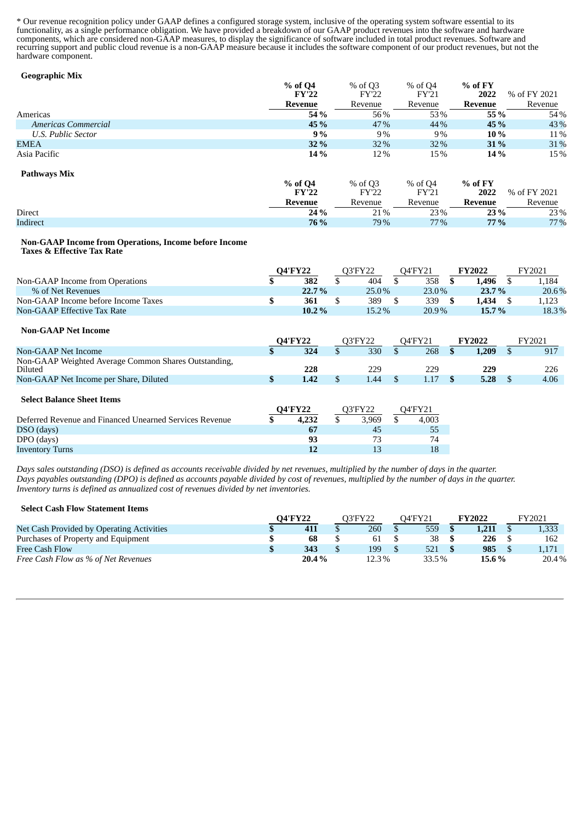\* Our revenue recognition policy under GAAP defines a configured storage system, inclusive of the operating system software essential to its functionality, as a single performance obligation. We have provided a breakdown of our GAAP product revenues into the software and hardware components, which are considered non-GAAP measures, to display the significance of software included in total product revenues. Software and recurring support and public cloud revenue is a non-GAAP measure because it includes the software component of our product revenues, but not the hardware component.

#### **Geographic Mix**

|                     | % of Q4<br><b>FY'22</b> | % of Q3<br>FY'22 | % of Q4<br>FY'21 | $%$ of FY<br>2022 | % of FY 2021 |
|---------------------|-------------------------|------------------|------------------|-------------------|--------------|
|                     | Revenue                 | Revenue          | Revenue          | Revenue           | Revenue      |
| Americas            | 54 %                    | 56%              | 53%              | 55 %              | 54%          |
| Americas Commercial | 45 %                    | 47%              | 44 %             | 45 %              | 43%          |
| U.S. Public Sector  | 9%                      | 9%               | 9%               | 10 %              | 11%          |
| <b>EMEA</b>         | <b>32%</b>              | 32%              | $32\%$           | <b>31</b> %       | 31%          |
| Asia Pacific        | 14 %                    | 12%              | 15%              | 14 %              | 15%          |
| <b>Pathways Mix</b> |                         |                  |                  |                   |              |

|                 | % of Q4<br><b>FY'22</b> | % of Q3<br>FY'22 | % of Q4<br>FY'21 | $%$ of FY<br>2022 | % of FY 2021 |
|-----------------|-------------------------|------------------|------------------|-------------------|--------------|
|                 | <b>Revenue</b>          | Revenue          | Revenue          | Revenue           | Revenue      |
| <b>Direct</b>   | 24 %                    | 21%              | 23%              | 23 %              | 23%          |
| <b>Indirect</b> | <b>76 %</b>             | 79%              | $77\%$           | $77\%$            | $77\%$       |

#### **Non-GAAP Income from Operations, Income before Income Taxes & Effective Tax Rate**

|                                     | <b>O4'FY22</b> | 73'FY22 |          | <b>O4'FY21</b> | <b>TY2022</b> | FY2021 |
|-------------------------------------|----------------|---------|----------|----------------|---------------|--------|
| Non-GAAP Income from Operations     | 382            |         | 404      | 358            | .496          | .,184  |
| % of Net Revenues                   | 22.7%          |         | $25.0\%$ | $23.0\%$       | 23.7%         | 20.6%  |
| Non-GAAP Income before Income Taxes | 361            |         | 389      | 339            | .434          | 1,123  |
| <b>Non-GAAP Effective Tax Rate</b>  | $10.2\%$       |         | $15.2\%$ | $20.9\%$       | $15.7\%$      | 18.3%  |

#### **Non-GAAP Net Income**

|                                                                 | <b>O4'FY22</b> |                | O3'FY22 |         | 04'FY21 |         | <b>FY2022</b> |       | FY2021 |      |
|-----------------------------------------------------------------|----------------|----------------|---------|---------|---------|---------|---------------|-------|--------|------|
| Non-GAAP Net Income                                             | æ              | 324            |         | 330     |         | 268     |               | 1,209 |        | 917  |
| Non-GAAP Weighted Average Common Shares Outstanding,<br>Diluted |                | 228            |         | 229     |         | 229     |               | 229   |        | 226  |
| Non-GAAP Net Income per Share, Diluted                          |                | 1.42           | \$.     | 1.44    |         | 1.17    |               | 5.28  |        | 4.06 |
| <b>Select Balance Sheet Items</b>                               |                | <b>O4'FY22</b> |         | O3'FY22 |         | 04'FY21 |               |       |        |      |
| Deferred Revenue and Financed Unearned Services Revenue         |                | 4.232          |         | 3.969   |         | 4,003   |               |       |        |      |
| DSO (days)                                                      |                | 67             |         | 45      |         | 55      |               |       |        |      |

Days sales outstanding (DSO) is defined as accounts receivable divided by net revenues, multiplied by the number of days in the quarter. Days payables outstanding (DPO) is defined as accounts payable divided by cost of revenues, multiplied by the number of days in the quarter. *Inventory turns is defined as annualized cost of revenues divided by net inventories.*

DPO (days) **93** 73 74 **Inventory Turns** 18 18

#### **Select Cash Flow Statement Items**

|                                           | 04'FY22 |       | O3'FY22 |       | 04'FY21 |       | FY2022 |          | TY2021 |
|-------------------------------------------|---------|-------|---------|-------|---------|-------|--------|----------|--------|
| Net Cash Provided by Operating Activities |         | 411   |         | 260   |         | 559   |        | 1.211    | 1,333  |
| Purchases of Property and Equipment       |         | 68    |         | 61    |         | 38    |        | 226      | 162    |
| Free Cash Flow                            |         | 343   |         | 199   |         | 521   |        | 985      | 1.171  |
| Free Cash Flow as % of Net Revenues       |         | 20.4% |         | 12.3% |         | 33.5% |        | $15.6\%$ | 20.4%  |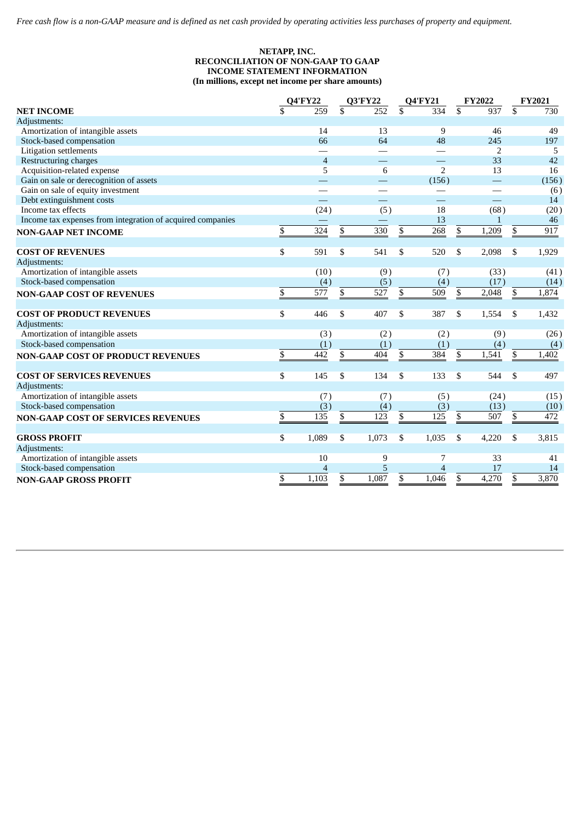#### **NETAPP, INC. RECONCILIATION OF NON-GAAP TO GAAP INCOME STATEMENT INFORMATION (In millions, except net income per share amounts)**

|                                                            |                         | <b>Q4'FY22</b>           |                         | <b>Q3'FY22</b>           |                         | <b>Q4'FY21</b>           |                         | <b>FY2022</b> |                         | <b>FY2021</b> |
|------------------------------------------------------------|-------------------------|--------------------------|-------------------------|--------------------------|-------------------------|--------------------------|-------------------------|---------------|-------------------------|---------------|
| <b>NET INCOME</b>                                          | $\overline{\mathbb{S}}$ | 259                      | $\overline{\mathbb{S}}$ | 252                      | $\overline{\mathbb{S}}$ | 334                      | $\overline{\mathbb{S}}$ | 937           | $\overline{\mathbb{S}}$ | 730           |
| Adjustments:                                               |                         |                          |                         |                          |                         |                          |                         |               |                         |               |
| Amortization of intangible assets                          |                         | 14                       |                         | 13                       |                         | 9                        |                         | 46            |                         | 49            |
| Stock-based compensation                                   |                         | 66                       |                         | 64                       |                         | 48                       |                         | 245           |                         | 197           |
| Litigation settlements                                     |                         | $\overline{\phantom{0}}$ |                         |                          |                         |                          |                         | 2             |                         | 5             |
| Restructuring charges                                      |                         | $\overline{4}$           |                         |                          |                         |                          |                         | 33            |                         | 42            |
| Acquisition-related expense                                |                         | 5                        |                         | 6                        |                         | $\overline{2}$           |                         | 13            |                         | 16            |
| Gain on sale or derecognition of assets                    |                         |                          |                         |                          |                         | (156)                    |                         | $\equiv$      |                         | (156)         |
| Gain on sale of equity investment                          |                         |                          |                         |                          |                         | $\overline{\phantom{0}}$ |                         |               |                         | (6)           |
| Debt extinguishment costs                                  |                         |                          |                         | $\overline{\phantom{0}}$ |                         |                          |                         |               |                         | 14            |
| Income tax effects                                         |                         | (24)                     |                         | (5)                      |                         | 18                       |                         | (68)          |                         | (20)          |
| Income tax expenses from integration of acquired companies |                         |                          |                         |                          |                         | 13                       |                         | $\mathbf{1}$  |                         | 46            |
| <b>NON-GAAP NET INCOME</b>                                 | \$                      | 324                      | \$                      | 330                      | \$                      | 268                      | \$                      | 1,209         | $\frac{3}{2}$           | 917           |
| <b>COST OF REVENUES</b>                                    | \$                      | 591                      | \$                      | 541                      | \$                      | 520                      | \$                      | 2,098         | \$                      | 1,929         |
| Adjustments:                                               |                         |                          |                         |                          |                         |                          |                         |               |                         |               |
| Amortization of intangible assets                          |                         | (10)                     |                         | (9)                      |                         | (7)                      |                         | (33)          |                         | (41)          |
| Stock-based compensation                                   |                         | (4)                      |                         | (5)                      |                         | (4)                      |                         | (17)          |                         | (14)          |
| <b>NON-GAAP COST OF REVENUES</b>                           | $\overline{\$}$         | $\overline{577}$         | $\overline{\$}$         | 527                      | $\overline{\$}$         | 509                      | $\overline{\$}$         | 2,048         | $\overline{\$}$         | 1,874         |
|                                                            |                         |                          |                         |                          |                         |                          |                         |               |                         |               |
| <b>COST OF PRODUCT REVENUES</b>                            | \$                      | 446                      | \$                      | 407                      | \$                      | 387                      | \$                      | 1,554         | \$                      | 1,432         |
| Adjustments:                                               |                         |                          |                         |                          |                         |                          |                         |               |                         |               |
| Amortization of intangible assets                          |                         | (3)                      |                         | (2)                      |                         | (2)                      |                         | (9)           |                         | (26)          |
| Stock-based compensation                                   |                         | (1)                      |                         | (1)                      |                         | (1)                      |                         | (4)           |                         | (4)           |
| <b>NON-GAAP COST OF PRODUCT REVENUES</b>                   | \$                      | 442                      | \$                      | 404                      | \$                      | 384                      | \$                      | 1,541         | \$                      | 1,402         |
| <b>COST OF SERVICES REVENUES</b>                           | \$                      | 145                      | \$                      | 134                      | \$                      | 133                      | \$                      | 544           | \$                      | 497           |
| Adjustments:                                               |                         |                          |                         |                          |                         |                          |                         |               |                         |               |
| Amortization of intangible assets                          |                         | (7)                      |                         | (7)                      |                         | (5)                      |                         | (24)          |                         | (15)          |
| Stock-based compensation                                   |                         | (3)                      |                         | (4)                      |                         | (3)                      |                         | (13)          |                         | (10)          |
| <b>NON-GAAP COST OF SERVICES REVENUES</b>                  | \$                      | 135                      | \$                      | 123                      | \$                      | 125                      | \$                      | 507           | \$                      | 472           |
| <b>GROSS PROFIT</b>                                        | \$                      | 1,089                    | \$                      | 1,073                    | \$                      | 1,035                    | \$                      | 4,220         | \$                      | 3,815         |
| Adjustments:                                               |                         |                          |                         |                          |                         |                          |                         |               |                         |               |
| Amortization of intangible assets                          |                         | 10                       |                         | 9                        |                         | 7                        |                         | 33            |                         | 41            |
| Stock-based compensation                                   |                         | 4                        |                         | 5                        |                         | $\overline{4}$           |                         | 17            |                         | 14            |
|                                                            | \$                      | 1,103                    | \$                      | 1,087                    | \$                      | 1,046                    | $\overline{\$}$         | 4,270         | $\overline{\$}$         | 3,870         |
| <b>NON-GAAP GROSS PROFIT</b>                               |                         |                          |                         |                          |                         |                          |                         |               |                         |               |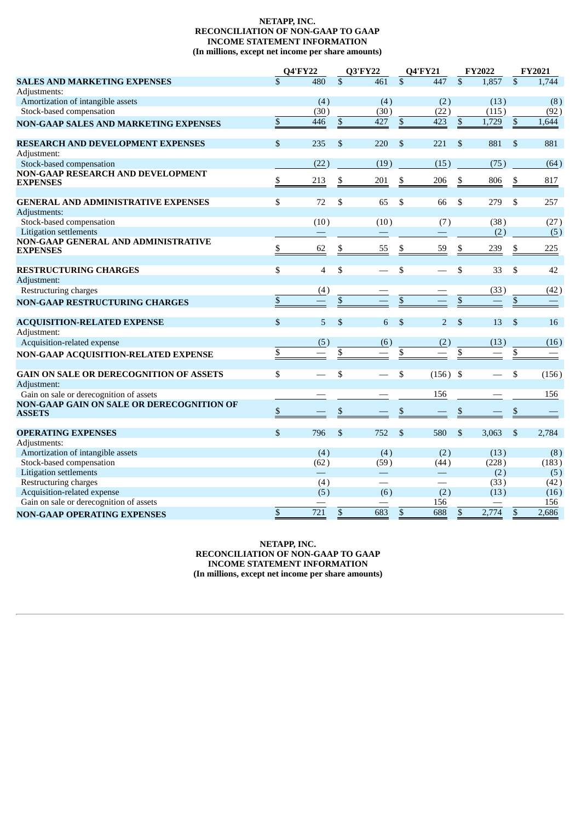#### **NETAPP, INC. RECONCILIATION OF NON-GAAP TO GAAP INCOME STATEMENT INFORMATION (In millions, except net income per share amounts)**

|                                                                   |                          | <b>Q4'FY22</b> |                           | <b>Q3'FY22</b>                 |                         | <b>Q4'FY21</b>           |                          | <b>FY2022</b> |                          | <b>FY2021</b> |
|-------------------------------------------------------------------|--------------------------|----------------|---------------------------|--------------------------------|-------------------------|--------------------------|--------------------------|---------------|--------------------------|---------------|
| <b>SALES AND MARKETING EXPENSES</b>                               | $\mathbf{\$}$            | 480            | $\mathbb{S}$              | 461                            | $\mathbb{S}$            | 447                      | $\mathbb{S}$             | 1,857         | $\mathbb{S}$             | 1,744         |
| Adjustments:                                                      |                          |                |                           |                                |                         |                          |                          |               |                          |               |
| Amortization of intangible assets                                 |                          | (4)            |                           | (4)                            |                         | (2)                      |                          | (13)          |                          | (8)           |
| Stock-based compensation                                          |                          | (30)           |                           | (30)                           |                         | (22)                     |                          | (115)         |                          | (92)          |
| <b>NON-GAAP SALES AND MARKETING EXPENSES</b>                      | $\mathbb{S}$             | 446            | $\,$                      | 427                            | $\mathbb{S}$            | 423                      | $\overline{\mathcal{L}}$ | 1,729         | $\mathbb{S}$             | 1,644         |
| RESEARCH AND DEVELOPMENT EXPENSES                                 | $\mathbb{S}$             | 235            | $\mathbb{S}$              | 220                            | $\mathcal{S}$           | 221                      | $\mathbb{S}$             | 881           | $\mathbb{S}$             | 881           |
| Adjustment:                                                       |                          |                |                           |                                |                         |                          |                          |               |                          |               |
| Stock-based compensation                                          |                          | (22)           |                           | (19)                           |                         | (15)                     |                          | (75)          |                          | (64)          |
| <b>NON-GAAP RESEARCH AND DEVELOPMENT</b><br><b>EXPENSES</b>       | \$                       | 213            | \$                        | 201                            | \$                      | 206                      | $\frac{1}{2}$            | 806           | $\frac{1}{2}$            | 817           |
| <b>GENERAL AND ADMINISTRATIVE EXPENSES</b>                        | $\overline{\mathcal{S}}$ | 72             | \$                        | 65                             | \$                      | 66                       | \$                       | 279           | \$                       | 257           |
| Adjustments:                                                      |                          |                |                           |                                |                         |                          |                          |               |                          |               |
| Stock-based compensation                                          |                          | (10)           |                           | (10)                           |                         | (7)                      |                          | (38)          |                          | (27)          |
| <b>Litigation settlements</b>                                     |                          |                |                           |                                |                         |                          |                          | (2)           |                          | (5)           |
| <b>NON-GAAP GENERAL AND ADMINISTRATIVE</b><br><b>EXPENSES</b>     | \$                       | 62             | $\underline{\$}$          | 55                             | \$                      | 59                       | $\frac{1}{2}$            | 239           | $\frac{\mathbb{S}}{2}$   | 225           |
| <b>RESTRUCTURING CHARGES</b>                                      | \$                       | $\overline{4}$ | \$                        |                                | \$                      |                          | \$                       | 33            | \$                       | 42            |
| Adjustment:                                                       |                          |                |                           |                                |                         |                          |                          |               |                          |               |
| Restructuring charges                                             |                          | (4)            |                           |                                |                         |                          |                          | (33)          |                          | (42)          |
| <b>NON-GAAP RESTRUCTURING CHARGES</b>                             | $\mathbb{S}$             |                | $\boldsymbol{\mathsf{S}}$ |                                | $\overline{\mathbb{S}}$ |                          | $\overline{\$}$          |               | $\overline{\mathcal{L}}$ |               |
| <b>ACQUISITION-RELATED EXPENSE</b>                                | $\mathbb{S}$             | 5              | $\mathbb{S}$              | 6                              | $\mathfrak{S}$          | $\overline{2}$           | $\mathbb{S}$             | 13            | $\mathbb{S}$             | 16            |
| Adjustment:                                                       |                          |                |                           |                                |                         |                          |                          |               |                          |               |
| Acquisition-related expense                                       |                          | (5)            |                           | (6)                            |                         | (2)                      |                          | (13)          |                          | (16)          |
| NON-GAAP ACQUISITION-RELATED EXPENSE                              | \$                       |                | \$                        |                                | \$                      |                          | \$                       |               | \$                       |               |
| GAIN ON SALE OR DERECOGNITION OF ASSETS                           | \$                       |                | \$                        |                                | \$                      | $(156)$ \$               |                          |               | \$                       | (156)         |
| Adjustment:                                                       |                          |                |                           |                                |                         |                          |                          |               |                          |               |
| Gain on sale or derecognition of assets                           |                          |                |                           |                                |                         | 156                      |                          |               |                          | 156           |
| <b>NON-GAAP GAIN ON SALE OR DERECOGNITION OF</b><br><b>ASSETS</b> | \$                       |                | \$                        |                                | \$                      |                          | \$                       |               | \$                       |               |
| <b>OPERATING EXPENSES</b>                                         | $\mathbb{S}$             | 796            | \$                        | 752                            | \$                      | 580                      | \$                       | 3,063         | \$                       | 2,784         |
| Adjustments:                                                      |                          |                |                           |                                |                         |                          |                          |               |                          |               |
| Amortization of intangible assets                                 |                          | (4)            |                           | (4)                            |                         | (2)                      |                          | (13)          |                          | (8)           |
| Stock-based compensation                                          |                          | (62)           |                           | (59)                           |                         | (44)                     |                          | (228)         |                          | (183)         |
| <b>Litigation settlements</b>                                     |                          |                |                           | $\qquad \qquad \longleftarrow$ |                         |                          |                          | (2)           |                          | (5)           |
| Restructuring charges                                             |                          | (4)            |                           | $\overline{\phantom{0}}$       |                         | $\overline{\phantom{0}}$ |                          | (33)          |                          | (42)          |
| Acquisition-related expense                                       |                          | (5)            |                           | (6)                            |                         | (2)                      |                          | (13)          |                          | (16)          |
| Gain on sale or derecognition of assets                           |                          |                |                           |                                |                         | 156                      |                          |               |                          | 156           |
| <b>NON-GAAP OPERATING EXPENSES</b>                                | \$                       | 721            | \$                        | 683                            | $\$$                    | 688                      | $\mathbb{S}$             | 2,774         | \$                       | 2,686         |

**NETAPP, INC. RECONCILIATION OF NON-GAAP TO GAAP INCOME STATEMENT INFORMATION (In millions, except net income per share amounts)**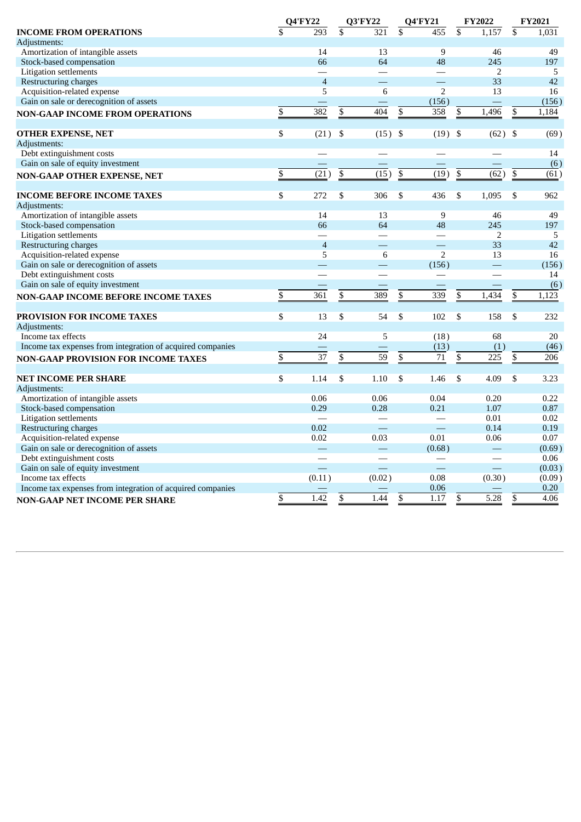|                                                            | <b>Q4'FY22</b>  |                          | <b>Q3'FY22</b>                                       |      | <b>Q4'FY21</b>    | <b>FY2022</b>           | <b>FY2021</b>   |                   |
|------------------------------------------------------------|-----------------|--------------------------|------------------------------------------------------|------|-------------------|-------------------------|-----------------|-------------------|
| <b>INCOME FROM OPERATIONS</b>                              | $\mathbf S$     | 293                      | \$<br>321                                            | \$   | 455               | \$<br>1,157             | \$              | 1,031             |
| Adjustments:                                               |                 |                          |                                                      |      |                   |                         |                 |                   |
| Amortization of intangible assets                          |                 | 14                       | 13                                                   |      | 9                 | 46                      |                 | 49                |
| Stock-based compensation                                   |                 | 66                       | 64                                                   |      | 48                | 245                     |                 | 197               |
| Litigation settlements                                     |                 | $\overline{\phantom{0}}$ |                                                      |      |                   | 2                       |                 | 5                 |
| Restructuring charges                                      |                 | $\overline{4}$           | $\overline{\phantom{0}}$                             |      | and the           | 33                      |                 | 42                |
| Acquisition-related expense                                |                 | 5                        | 6                                                    |      | $\overline{2}$    | 13                      |                 | 16                |
| Gain on sale or derecognition of assets                    |                 |                          |                                                      |      | (156)             |                         |                 | (156)             |
| <b>NON-GAAP INCOME FROM OPERATIONS</b>                     | \$              | 382                      | \$<br>404                                            | \$   | 358               | 1,496<br>\$             | \$              | 1,184             |
| <b>OTHER EXPENSE, NET</b>                                  | \$              | (21)                     | \$<br>(15)                                           | - \$ | (19)              | \$<br>(62)              | \$              | (69)              |
| Adjustments:                                               |                 |                          |                                                      |      |                   |                         |                 |                   |
| Debt extinguishment costs                                  |                 |                          |                                                      |      |                   |                         |                 | 14                |
| Gain on sale of equity investment                          |                 |                          |                                                      |      |                   |                         |                 | (6)               |
|                                                            | \$              | $\overline{(21)}$        | \$<br>$\overline{(15)}$                              | \$   | $\overline{(19)}$ | \$<br>$\overline{(62)}$ | $\overline{\$}$ | $\overline{(61)}$ |
| NON-GAAP OTHER EXPENSE, NET                                |                 |                          |                                                      |      |                   |                         |                 |                   |
| <b>INCOME BEFORE INCOME TAXES</b>                          | $\overline{\$}$ | 272                      | \$<br>306                                            | \$   | 436               | \$<br>1,095             | \$              | 962               |
| Adjustments:                                               |                 |                          |                                                      |      |                   |                         |                 |                   |
| Amortization of intangible assets                          |                 | 14                       | 13                                                   |      | 9                 | 46                      |                 | 49                |
| Stock-based compensation                                   |                 | 66                       | 64                                                   |      | 48                | 245                     |                 | 197               |
| <b>Litigation settlements</b>                              |                 |                          |                                                      |      |                   | 2                       |                 | 5                 |
| Restructuring charges                                      |                 | $\overline{4}$           | $\overline{\phantom{0}}$                             |      | and the           | 33                      |                 | 42                |
| Acquisition-related expense                                |                 | 5                        | 6                                                    |      | $\overline{2}$    | 13                      |                 | 16                |
| Gain on sale or derecognition of assets                    |                 |                          |                                                      |      | (156)             |                         |                 | (156)             |
| Debt extinguishment costs                                  |                 |                          |                                                      |      |                   |                         |                 | 14                |
| Gain on sale of equity investment                          |                 |                          |                                                      |      |                   |                         |                 | (6)               |
| NON-GAAP INCOME BEFORE INCOME TAXES                        | \$              | 361                      | \$<br>389                                            | \$   | 339               | \$<br>1,434             | \$              | 1,123             |
| <b>PROVISION FOR INCOME TAXES</b>                          | \$              | 13                       | \$<br>54                                             | \$   | 102               | \$<br>158               | \$              | 232               |
| Adjustments:                                               |                 |                          |                                                      |      |                   |                         |                 |                   |
| Income tax effects                                         |                 | 24                       | 5                                                    |      | (18)              | 68                      |                 | 20                |
| Income tax expenses from integration of acquired companies |                 |                          |                                                      |      | (13)              | (1)                     |                 | (46)              |
| <b>NON-GAAP PROVISION FOR INCOME TAXES</b>                 | \$              | 37                       | \$<br>59                                             | \$   | 71                | \$<br>225               | \$              | 206               |
|                                                            |                 |                          |                                                      |      |                   |                         |                 |                   |
| <b>NET INCOME PER SHARE</b>                                | \$              | 1.14                     | \$<br>1.10                                           | \$   | 1.46              | \$<br>4.09              | \$              | 3.23              |
| Adjustments:                                               |                 |                          |                                                      |      |                   |                         |                 |                   |
| Amortization of intangible assets                          |                 | 0.06                     | 0.06                                                 |      | 0.04              | 0.20                    |                 | 0.22              |
| Stock-based compensation                                   |                 | 0.29                     | 0.28                                                 |      | 0.21              | 1.07                    |                 | 0.87              |
| Litigation settlements                                     |                 |                          | $\overline{\phantom{0}}$<br>$\overline{\phantom{a}}$ |      | $\equiv$          | 0.01                    |                 | 0.02              |
| Restructuring charges                                      |                 | 0.02                     |                                                      |      |                   | 0.14                    |                 | 0.19              |
| Acquisition-related expense                                |                 | 0.02                     | 0.03                                                 |      | 0.01              | 0.06                    |                 | 0.07              |
| Gain on sale or derecognition of assets                    |                 |                          |                                                      |      | (0.68)            |                         |                 | (0.69)            |
| Debt extinguishment costs                                  |                 |                          |                                                      |      |                   |                         |                 | 0.06              |
| Gain on sale of equity investment                          |                 |                          | $\overline{\phantom{0}}$                             |      |                   |                         |                 | (0.03)            |
| Income tax effects                                         |                 | (0.11)                   | (0.02)                                               |      | 0.08              | (0.30)                  |                 | (0.09)            |
| Income tax expenses from integration of acquired companies |                 |                          |                                                      |      | 0.06              |                         |                 | 0.20              |
| NON-GAAP NET INCOME PER SHARE                              | \$              | 1.42                     | \$<br>1.44                                           | \$   | 1.17              | 5.28<br>\$              | \$              | 4.06              |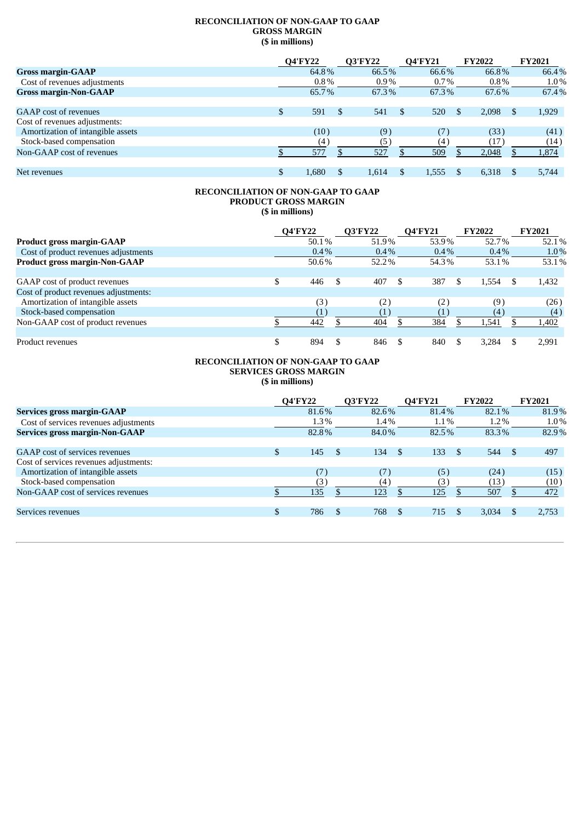#### **RECONCILIATION OF NON-GAAP TO GAAP GROSS MARGIN (\$ in millions)**

|                                   | <b>Q4'FY22</b> | <b>Q3'FY22</b> |         | <b>Q4'FY21</b> | <b>FY2022</b> | <b>FY2021</b> |
|-----------------------------------|----------------|----------------|---------|----------------|---------------|---------------|
| <b>Gross margin-GAAP</b>          | 64.8%          | 66.5%          |         | 66.6%          | 66.8%         | 66.4%         |
| Cost of revenues adjustments      | $0.8\%$        |                | $0.9\%$ | $0.7\%$        | $0.8\%$       | $1.0\%$       |
| <b>Gross margin-Non-GAAP</b>      | 65.7%          | 67.3%          |         | 67.3%          | 67.6%         | 67.4%         |
|                                   |                |                |         |                |               |               |
| <b>GAAP</b> cost of revenues      | \$<br>591      | \$<br>541      |         | 520            | 2.098         | 1,929         |
| Cost of revenues adjustments:     |                |                |         |                |               |               |
| Amortization of intangible assets | (10)           | (9)            |         | (7)            | (33)          | (41)          |
| Stock-based compensation          | (4)            | (5)            |         | (4)            | (17)          | (14)          |
| Non-GAAP cost of revenues         | 577            | 527            |         | 509            | 2,048         | 1,874         |
|                                   |                |                |         |                |               |               |
| Net revenues                      | 1.680          | 1,614          |         | 1,555          | 6,318         | 5.744         |

#### **RECONCILIATION OF NON-GAAP TO GAAP PRODUCT GROSS MARGIN (\$ in millions)**

|                                       | <b>Q4'FY22</b> | <b>Q3'FY22</b> | <b>O4'FY21</b> | <b>FY2022</b> | <b>FY2021</b> |
|---------------------------------------|----------------|----------------|----------------|---------------|---------------|
| <b>Product gross margin-GAAP</b>      | 50.1%          | 51.9%          | 53.9%          | 52.7%         | 52.1%         |
| Cost of product revenues adjustments  | $0.4\%$        | $0.4\%$        | $0.4\%$        | $0.4\%$       | $1.0\%$       |
| <b>Product gross margin-Non-GAAP</b>  | 50.6%          | 52.2%          | 54.3%          | 53.1%         | 53.1%         |
|                                       |                |                |                |               |               |
| GAAP cost of product revenues         | 446            | 407            | 387            | 1,554         | 1,432         |
| Cost of product revenues adjustments: |                |                |                |               |               |
| Amortization of intangible assets     | (3)            | (2)            | (2)            | (9)           | (26)          |
| Stock-based compensation              |                |                |                | (4)           | (4)           |
| Non-GAAP cost of product revenues     | 442            | 404            | 384            | L,541         | 1,402         |
|                                       |                |                |                |               |               |
| Product revenues                      | 894            | 846            | 840            | 3.284         | 2,991         |

#### **RECONCILIATION OF NON-GAAP TO GAAP SERVICES GROSS MARGIN (\$ in millions)**

|                                        |     | <b>Q4'FY22</b> |     | <b>Q3'FY22</b>      | <b>Q4'FY21</b>  |               | <b>FY2022</b> | <b>FY2021</b> |
|----------------------------------------|-----|----------------|-----|---------------------|-----------------|---------------|---------------|---------------|
| Services gross margin-GAAP             |     | 81.6%          |     | 82.6%               | 81.4%           |               | 82.1%         | 81.9%         |
| Cost of services revenues adjustments  |     | 1.3%           |     | $1.4\%$             | $1.1\%$         |               | $1.2\%$       | $1.0\%$       |
| <b>Services gross margin-Non-GAAP</b>  |     | 82.8%          |     | 84.0%               | 82.5%           |               | 83.3%         | 82.9%         |
|                                        |     |                |     |                     |                 |               |               |               |
| GAAP cost of services revenues         | \$. | 145            | \$. | 134<br>$\mathsf{S}$ | 133             | <sup>\$</sup> | 544           | 497           |
| Cost of services revenues adjustments: |     |                |     |                     |                 |               |               |               |
| Amortization of intangible assets      |     | (7)            |     | (7)                 | (5)             |               | (24)          | (15)          |
| Stock-based compensation               |     | (3)            |     | (4)                 | (3)             |               | (13)          | (10)          |
| Non-GAAP cost of services revenues     |     | 135            |     | 123                 | 125             |               | 507           | 472           |
|                                        |     |                |     |                     |                 |               |               |               |
| Services revenues                      |     | 786            | \$  | 768                 | 715<br><b>S</b> |               | 3,034         | 2,753         |
|                                        |     |                |     |                     |                 |               |               |               |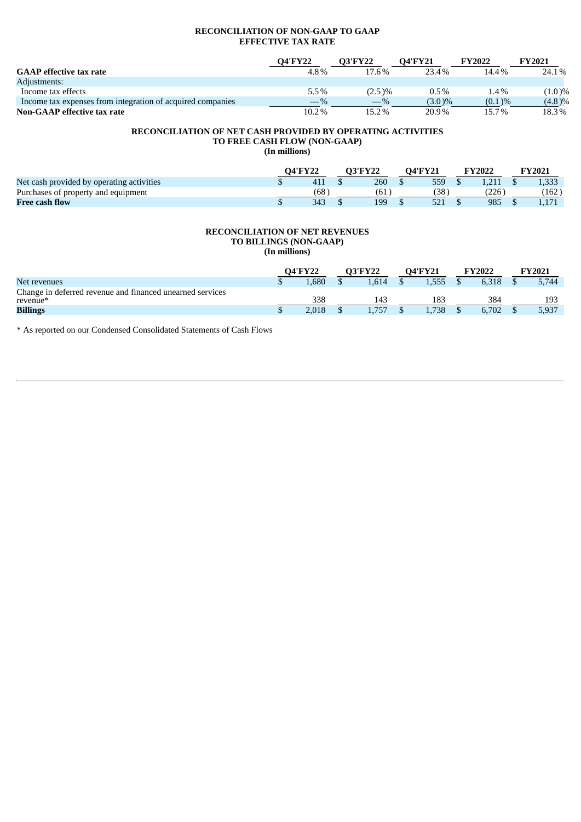## **RECONCILIATION OF NON-GAAP TO GAAP EFFECTIVE TAX RATE**

|                                                            | <b>O4'FY22</b> | <b>O3'FY22</b> | <b>O4'FY21</b> | <b>FY2022</b> | <b>FY2021</b> |
|------------------------------------------------------------|----------------|----------------|----------------|---------------|---------------|
| <b>GAAP</b> effective tax rate                             | 4.8%           | 17.6%          | 23.4%          | 14.4%         | 24.1%         |
| Adiustments:                                               |                |                |                |               |               |
| Income tax effects                                         | 5.5%           | $(2.5)\%$      | $0.5\%$        | 1.4%          | $(1.0)\%$     |
| Income tax expenses from integration of acquired companies | $-$ %          | $-\%$          | $(3.0)\%$      | $(0.1) \%$    | $(4.8)\%$     |
| Non-GAAP effective tax rate                                | 10.2%          | 15.2%          | 20.9%          | 15.7%         | 18.3%         |

#### **RECONCILIATION OF NET CASH PROVIDED BY OPERATING ACTIVITIES TO FREE CASH FLOW (NON-GAAP)**

**(In millions)**

|                                           |     | ervan G |     | 74'FY21 |     | <b>FY2022</b> | <b>FY2021</b> |
|-------------------------------------------|-----|---------|-----|---------|-----|---------------|---------------|
| Net cash provided by operating activities |     |         | 260 |         | 559 |               | 1,333         |
| Purchases of property and equipment       | (68 |         | ΄61 |         | (38 | 226           | 162           |
| <b>Free cash flow</b>                     | 343 |         | 199 |         | E21 | 985           |               |

#### **RECONCILIATION OF NET REVENUES TO BILLINGS (NON-GAAP) (In millions)**

|                                                                       | <b>O4'FY22</b><br><b>O3'FY22</b> |  | <b>O4'FY21</b> |  | <b>FY2022</b> |  | <b>FY2021</b> |  |       |
|-----------------------------------------------------------------------|----------------------------------|--|----------------|--|---------------|--|---------------|--|-------|
| Net revenues                                                          | .680                             |  | .614           |  | .555          |  | 6.318         |  | 5.744 |
| Change in deferred revenue and financed unearned services<br>revenue* | 338                              |  | 143            |  | 183           |  | 384           |  | 193   |
| <b>Billings</b>                                                       | 2.018                            |  | .757           |  | .738          |  | 6.702         |  | 5,937 |

\* As reported on our Condensed Consolidated Statements of Cash Flows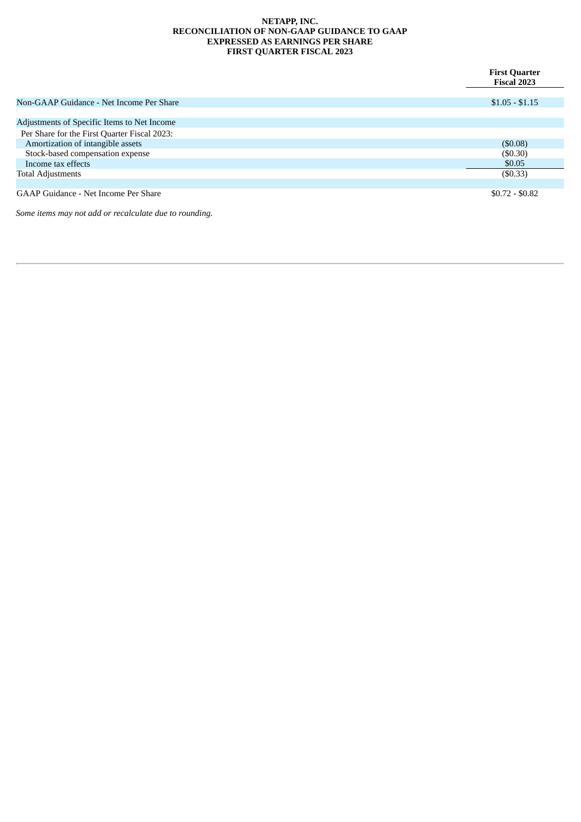#### **NETAPP, INC. RECONCILIATION OF NON-GAAP GUIDANCE TO GAAP EXPRESSED AS EARNINGS PER SHARE FIRST QUARTER FISCAL 2023**

|                                              | <b>First Quarter</b><br><b>Fiscal 2023</b> |
|----------------------------------------------|--------------------------------------------|
|                                              |                                            |
| Non-GAAP Guidance - Net Income Per Share     | $$1.05 - $1.15$                            |
|                                              |                                            |
| Adjustments of Specific Items to Net Income  |                                            |
| Per Share for the First Quarter Fiscal 2023: |                                            |
| Amortization of intangible assets            | (\$0.08)                                   |
| Stock-based compensation expense             | (\$0.30)                                   |
| Income tax effects                           | \$0.05                                     |
| <b>Total Adjustments</b>                     | $($ \$0.33 $)$                             |
|                                              |                                            |
| GAAP Guidance - Net Income Per Share         | $$0.72 - $0.82$                            |

*Some items may not add or recalculate due to rounding.*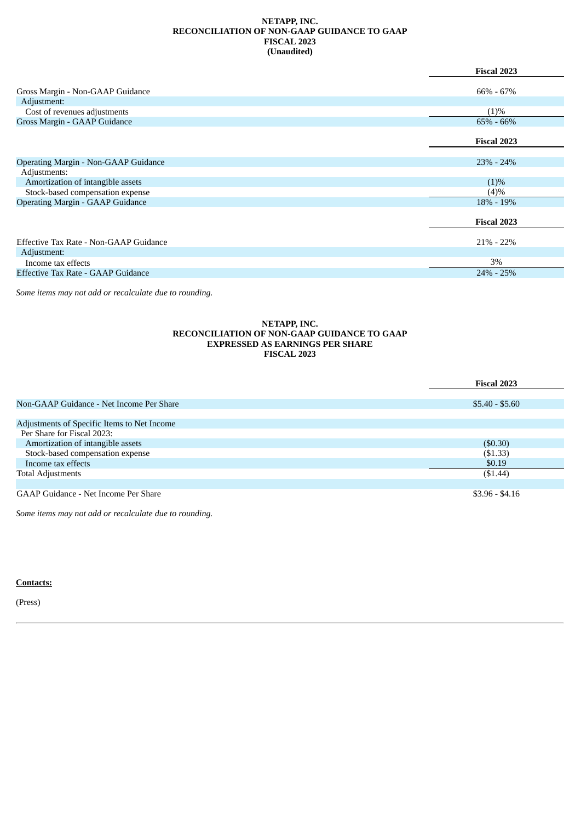#### **NETAPP, INC. RECONCILIATION OF NON-GAAP GUIDANCE TO GAAP FISCAL 2023 (Unaudited)**

|                                             | <b>Fiscal 2023</b> |
|---------------------------------------------|--------------------|
|                                             |                    |
| Gross Margin - Non-GAAP Guidance            | $66\% - 67\%$      |
| Adjustment:                                 |                    |
| Cost of revenues adjustments                | (1)%               |
| Gross Margin - GAAP Guidance                | $65\% - 66\%$      |
|                                             |                    |
|                                             | <b>Fiscal 2023</b> |
|                                             |                    |
| <b>Operating Margin - Non-GAAP Guidance</b> | $23\% - 24\%$      |
| Adjustments:                                |                    |
| Amortization of intangible assets           | $(1)\%$            |
| Stock-based compensation expense            | (4)%               |
| <b>Operating Margin - GAAP Guidance</b>     | 18% - 19%          |
|                                             |                    |
|                                             | <b>Fiscal 2023</b> |
|                                             |                    |
| Effective Tax Rate - Non-GAAP Guidance      | $21\% - 22\%$      |
| Adjustment:                                 |                    |
| Income tax effects                          | 3%                 |
| Effective Tax Rate - GAAP Guidance          | $24\% - 25\%$      |
|                                             |                    |

*Some items may not add or recalculate due to rounding.*

#### **NETAPP, INC. RECONCILIATION OF NON-GAAP GUIDANCE TO GAAP EXPRESSED AS EARNINGS PER SHARE FISCAL 2023**

|                                             | <b>Fiscal 2023</b> |
|---------------------------------------------|--------------------|
|                                             |                    |
| Non-GAAP Guidance - Net Income Per Share    | $$5.40 - $5.60$    |
|                                             |                    |
| Adjustments of Specific Items to Net Income |                    |
| Per Share for Fiscal 2023:                  |                    |
| Amortization of intangible assets           | (\$0.30)           |
| Stock-based compensation expense            | ( \$1.33)          |
| Income tax effects                          | \$0.19             |
| <b>Total Adjustments</b>                    | (\$1.44)           |
|                                             |                    |
| GAAP Guidance - Net Income Per Share        | $$3.96 - $4.16$    |

*Some items may not add or recalculate due to rounding.*

## **Contacts:**

(Press)